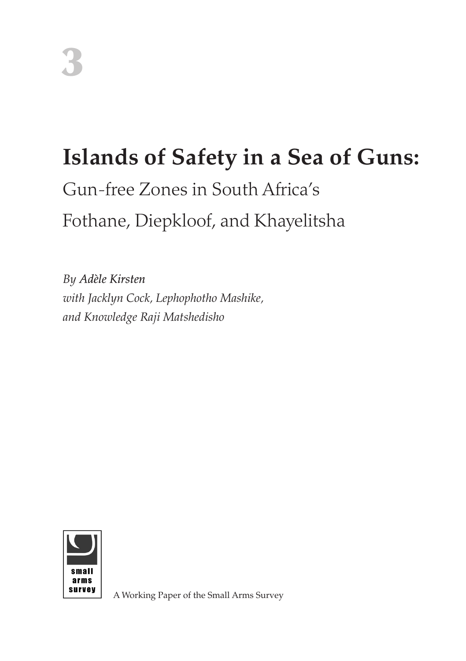# Islands of Safety in a Sea of Guns:

# Gun-free Zones in South Africa's Fothane, Diepkloof, and Khayelitsha

By Adèle Kirsten with Jacklyn Cock, Lephophotho Mashike, and Knowledge Raji Matshedisho



A Working Paper of the Small Arms Survey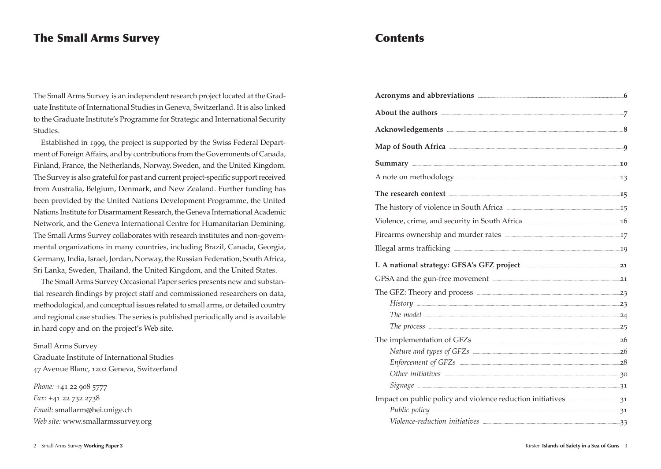## The Small Arms Survey

The Small Arms Survey is an independent research project located at the Graduate Institute of International Studies in Geneva, Switzerland. It is also linked to the Graduate Institute's Programme for Strategic and International Security Studies.

Established in 1999, the project is supported by the Swiss Federal Department of Foreign Affairs, and by contributions from the Governments of Canada, Finland, France, the Netherlands, Norway, Sweden, and the United Kingdom. The Survey is also grateful for past and current project-specific support received from Australia, Belgium, Denmark, and New Zealand. Further funding has been provided by the United Nations Development Programme, the United Nations Institute for Disarmament Research, the Geneva International Academic Network, and the Geneva International Centre for Humanitarian Demining. The Small Arms Survey collaborates with research institutes and non-governmental organizations in many countries, including Brazil, Canada, Georgia, Germany, India, Israel, Jordan, Norway, the Russian Federation, South Africa, Sri Lanka, Sweden, Thailand, the United Kingdom, and the United States.

The Small Arms Survey Occasional Paper series presents new and substantial research findings by project staff and commissioned researchers on data, methodological, and conceptual issues related to small arms, or detailed country and regional case studies. The series is published periodically and is available in hard copy and on the project's Web site.

Small Arms Survey

Graduate Institute of International Studies 47 Avenue Blanc, 1202 Geneva, Switzerland

*Phone:* +41 22 908 5777 *Fax:* +41 22 732 2738 *Email:* smallarm@hei.unige.ch *Web site:* www.smallarmssurvey.org

## **Contents**

| Acronyms and abbreviations <b>contract and abbreviations</b> 6                                                                                                                                                                       |  |
|--------------------------------------------------------------------------------------------------------------------------------------------------------------------------------------------------------------------------------------|--|
| About the authors <b>contained a set of the authors 2</b>                                                                                                                                                                            |  |
| Acknowledgements 38                                                                                                                                                                                                                  |  |
| Map of South Africa <u>Electron Communist Communist Communist Communist Communist Communist Communist Communist Communist Communist Communist Communist Communist Communist Communist Communist Communist Communist Communist Co</u> |  |
|                                                                                                                                                                                                                                      |  |
| A note on methodology <u>expressions</u> and the note on methodology and the number of the number of the number of the number of the number of the number of the number of the number of the number of the number of the number of   |  |
| The research context <b>context</b> 15                                                                                                                                                                                               |  |
| The history of violence in South Africa <b>Election 2018</b> 15                                                                                                                                                                      |  |
| Violence, crime, and security in South Africa <b>manually 10</b> 16                                                                                                                                                                  |  |
| Firearms ownership and murder rates <b>ACCONTAGE 27</b> Times and the state of the state of the state of the state of the state of the state of the state of the state of the state of the state of the state of the state of the s  |  |
|                                                                                                                                                                                                                                      |  |
| I. A national strategy: GFSA's GFZ project <b>EXALLES</b> 21                                                                                                                                                                         |  |
|                                                                                                                                                                                                                                      |  |
| The GFZ: Theory and process <b>EXECUTE:</b> 23                                                                                                                                                                                       |  |
| History 23                                                                                                                                                                                                                           |  |
| $The model$ $24$                                                                                                                                                                                                                     |  |
|                                                                                                                                                                                                                                      |  |
|                                                                                                                                                                                                                                      |  |
| Nature and types of GFZs <b>manufacture and types</b> 26                                                                                                                                                                             |  |
| Enforcement of GFZs <b>manually contained a set of the set of GFZs</b> 28                                                                                                                                                            |  |
|                                                                                                                                                                                                                                      |  |
|                                                                                                                                                                                                                                      |  |
| Impact on public policy and violence reduction initiatives <b>manually 1231</b>                                                                                                                                                      |  |
| Public policy 21                                                                                                                                                                                                                     |  |
|                                                                                                                                                                                                                                      |  |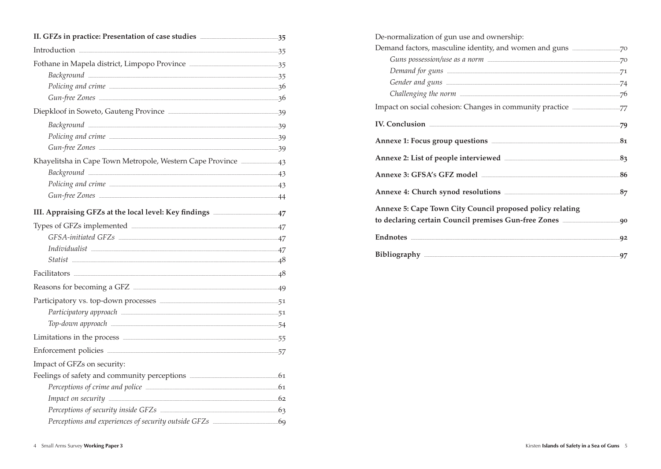| Introduction 25                                                                                                                                                                                                                                                                                                                                                                                                                                                                                                                      |  |
|--------------------------------------------------------------------------------------------------------------------------------------------------------------------------------------------------------------------------------------------------------------------------------------------------------------------------------------------------------------------------------------------------------------------------------------------------------------------------------------------------------------------------------------|--|
|                                                                                                                                                                                                                                                                                                                                                                                                                                                                                                                                      |  |
| Background 35                                                                                                                                                                                                                                                                                                                                                                                                                                                                                                                        |  |
|                                                                                                                                                                                                                                                                                                                                                                                                                                                                                                                                      |  |
|                                                                                                                                                                                                                                                                                                                                                                                                                                                                                                                                      |  |
| Diepkloof in Soweto, Gauteng Province <b>Engineering and Southern 39</b>                                                                                                                                                                                                                                                                                                                                                                                                                                                             |  |
| Background 39                                                                                                                                                                                                                                                                                                                                                                                                                                                                                                                        |  |
|                                                                                                                                                                                                                                                                                                                                                                                                                                                                                                                                      |  |
|                                                                                                                                                                                                                                                                                                                                                                                                                                                                                                                                      |  |
|                                                                                                                                                                                                                                                                                                                                                                                                                                                                                                                                      |  |
|                                                                                                                                                                                                                                                                                                                                                                                                                                                                                                                                      |  |
| Policing and crime <b>contained a set of the set of the set of the set of the set of the set of the set of the set of the set of the set of the set of the set of the set of the set of the set of the set of the set of the set</b>                                                                                                                                                                                                                                                                                                 |  |
| Gun-free Zones 44                                                                                                                                                                                                                                                                                                                                                                                                                                                                                                                    |  |
| III. Appraising GFZs at the local level: Key findings <b>Manual</b> 2014-19                                                                                                                                                                                                                                                                                                                                                                                                                                                          |  |
| Types of GFZs implemented <b>EXALLER 1999</b> 47                                                                                                                                                                                                                                                                                                                                                                                                                                                                                     |  |
| GFSA-initiated GFZs <b>manually contained</b> 47                                                                                                                                                                                                                                                                                                                                                                                                                                                                                     |  |
| Individualist 274                                                                                                                                                                                                                                                                                                                                                                                                                                                                                                                    |  |
| $\textit{Statist} \quad \textcolor{red}{\textbf{18}} \quad \textcolor{red}{\textbf{18}} \quad \textcolor{red}{\textbf{19}} \quad \textcolor{red}{\textbf{19}} \quad \textcolor{red}{\textbf{19}} \quad \textcolor{red}{\textbf{19}} \quad \textcolor{red}{\textbf{19}} \quad \textcolor{red}{\textbf{19}} \quad \textcolor{red}{\textbf{19}} \quad \textcolor{red}{\textbf{19}} \quad \textcolor{red}{\textbf{19}} \quad \textcolor{red}{\textbf{19}} \quad \textcolor{red}{\textbf{19}} \quad \textcolor{red}{\textbf{19}} \quad \$ |  |
|                                                                                                                                                                                                                                                                                                                                                                                                                                                                                                                                      |  |
| Reasons for becoming a GFZ <b>Exercise 2008</b> 49                                                                                                                                                                                                                                                                                                                                                                                                                                                                                   |  |
| Participatory vs. top-down processes <b>manually contained and the set of 1</b>                                                                                                                                                                                                                                                                                                                                                                                                                                                      |  |
| Participatory approach <b>manufacture and the contract of the contract of the contract of the contract of the contract of the contract of the contract of the contract of the contract of the contract of the contract of the co</b>                                                                                                                                                                                                                                                                                                 |  |
| Top-down approach manufactured and 54                                                                                                                                                                                                                                                                                                                                                                                                                                                                                                |  |
| Limitations in the process <b>Example 25</b> and 25                                                                                                                                                                                                                                                                                                                                                                                                                                                                                  |  |
| Enforcement policies 275                                                                                                                                                                                                                                                                                                                                                                                                                                                                                                             |  |
| Impact of GFZs on security:                                                                                                                                                                                                                                                                                                                                                                                                                                                                                                          |  |
| Feelings of safety and community perceptions <b>manually</b> 1 61                                                                                                                                                                                                                                                                                                                                                                                                                                                                    |  |
| Perceptions of crime and police <b>manually contained</b> by the 61                                                                                                                                                                                                                                                                                                                                                                                                                                                                  |  |
|                                                                                                                                                                                                                                                                                                                                                                                                                                                                                                                                      |  |
| Perceptions of security inside GFZs [1994] [1995] [1996] [1996] [1996] [1996] [1996] [1996] [1996] [1996] [199                                                                                                                                                                                                                                                                                                                                                                                                                       |  |
| Perceptions and experiences of security outside GFZs <b>manual contract of the Security</b>                                                                                                                                                                                                                                                                                                                                                                                                                                          |  |

| De-normalization of gun use and ownership:                                                                                                                                                                                           |  |
|--------------------------------------------------------------------------------------------------------------------------------------------------------------------------------------------------------------------------------------|--|
| Demand factors, masculine identity, and women and guns <b>manually 1980</b> , 70                                                                                                                                                     |  |
| Guns possession/use as a norm <b>contract to the contract of the contract of the contract of the contract of the contract of the contract of the contract of the contract of the contract of the contract of the contract of the</b> |  |
|                                                                                                                                                                                                                                      |  |
| Gender and guns 24                                                                                                                                                                                                                   |  |
| Challenging the norm <b>container and the manufacture of the set of the set of the set of the set of the set of the set of the set of the set of the set of the set of the set of the set of the set of the set of the set of th</b> |  |
| Impact on social cohesion: Changes in community practice <b>Election</b> 27                                                                                                                                                          |  |
| IV. Conclusion 29                                                                                                                                                                                                                    |  |
|                                                                                                                                                                                                                                      |  |
| Annexe 2: List of people interviewed <b>container and the set of people</b> interviewed                                                                                                                                              |  |
| Annexe 3: GFSA's GFZ model <b>CONSERVERSITY CONSERVERSITY</b> 86                                                                                                                                                                     |  |
| Annexe 4: Church synod resolutions <b>Example 2018</b> 7                                                                                                                                                                             |  |
| Annexe 5: Cape Town City Council proposed policy relating                                                                                                                                                                            |  |
| to declaring certain Council premises Gun-free Zones <b>Acceleration</b> 90                                                                                                                                                          |  |
|                                                                                                                                                                                                                                      |  |
| Bibliography 2018-01-120-2012 37                                                                                                                                                                                                     |  |
|                                                                                                                                                                                                                                      |  |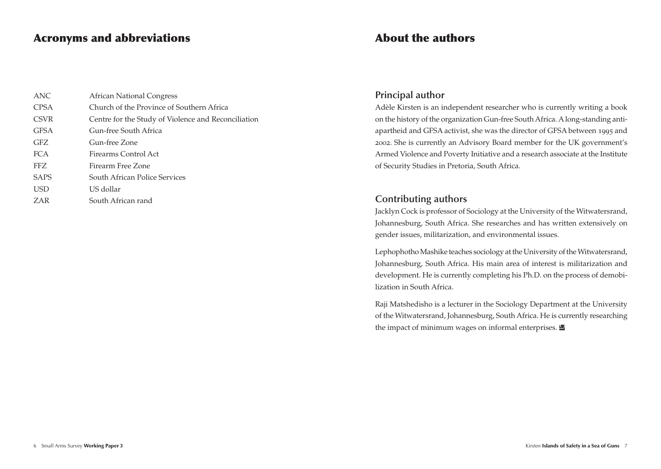## Acronyms and abbreviations

| <b>ANC</b>  | <b>African National Congress</b>                    |
|-------------|-----------------------------------------------------|
| <b>CPSA</b> | Church of the Province of Southern Africa           |
| <b>CSVR</b> | Centre for the Study of Violence and Reconciliation |
| <b>GFSA</b> | Gun-free South Africa                               |
| <b>GFZ</b>  | Gun-free Zone                                       |
| FCA         | Firearms Control Act                                |
| <b>FFZ</b>  | Firearm Free Zone                                   |
| <b>SAPS</b> | South African Police Services                       |
| <b>USD</b>  | US dollar                                           |
| ZAR         | South African rand                                  |

## About the authors

## **Principal author**

Adèle Kirsten is an independent researcher who is currently writing a book on the history of the organization Gun-free South Africa. A long-standing antiapartheid and GFSA activist, she was the director of GFSA between 1995 and 2002. She is currently an Advisory Board member for the UK government's Armed Violence and Poverty Initiative and a research associate at the Institute of Security Studies in Pretoria, South Africa.

## **Contributing authors**

Jacklyn Cock is professor of Sociology at the University of the Witwatersrand, Johannesburg, South Africa. She researches and has written extensively on gender issues, militarization, and environmental issues.

Lephophotho Mashike teaches sociology at the University of the Witwatersrand, Johannesburg, South Africa. His main area of interest is militarization and development. He is currently completing his Ph.D. on the process of demobilization in South Africa.

Raji Matshedisho is a lecturer in the Sociology Department at the University of the Witwatersrand, Johannesburg, South Africa. He is currently researching the impact of minimum wages on informal enterprises.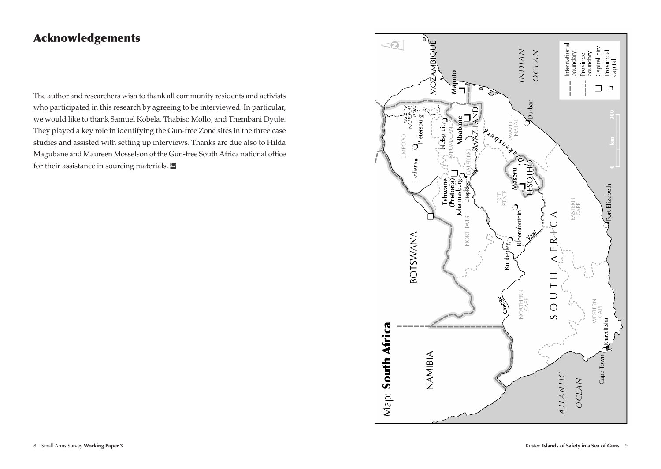## Acknowledgements

The author and researchers wish to thank all community residents and activists who participated in this research by agreeing to be interviewed. In particular, we would like to thank Samuel Kobela, Thabiso Mollo, and Thembani Dyule. They played a key role in identifying the Gun-free Zone sites in the three case studies and assisted with setting up interviews. Thanks are due also to Hilda Magubane and Maureen Mosselson of the Gun-free South Africa national office for their assistance in sourcing materials.

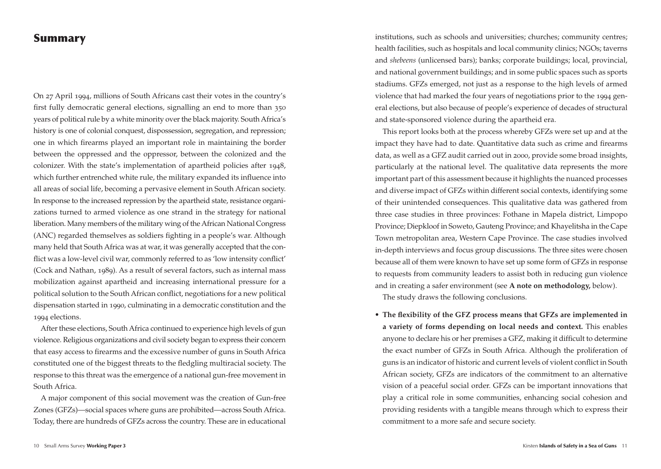## Summary

On 27 April 1994, millions of South Africans cast their votes in the country's first fully democratic general elections, signalling an end to more than 350 years of political rule by a white minority over the black majority. South Africa's history is one of colonial conquest, dispossession, segregation, and repression; one in which firearms played an important role in maintaining the border between the oppressed and the oppressor, between the colonized and the colonizer. With the state's implementation of apartheid policies after 1948, which further entrenched white rule, the military expanded its influence into all areas of social life, becoming a pervasive element in South African society. In response to the increased repression by the apartheid state, resistance organizations turned to armed violence as one strand in the strategy for national liberation. Many members of the military wing of the African National Congress (ANC) regarded themselves as soldiers fighting in a people's war. Although many held that South Africa was at war, it was generally accepted that the conflict was a low-level civil war, commonly referred to as 'low intensity conflict' (Cock and Nathan, 1989). As a result of several factors, such as internal mass mobilization against apartheid and increasing international pressure for a political solution to the South African conflict, negotiations for a new political dispensation started in 1990, culminating in a democratic constitution and the 1994 elections.

After these elections, South Africa continued to experience high levels of gun violence. Religious organizations and civil society began to express their concern that easy access to firearms and the excessive number of guns in South Africa constituted one of the biggest threats to the fledgling multiracial society. The response to this threat was the emergence of a national gun-free movement in South Africa.

A major component of this social movement was the creation of Gun-free Zones (GFZs)—social spaces where guns are prohibited—across South Africa. Today, there are hundreds of GFZs across the country. These are in educational

institutions, such as schools and universities; churches; community centres; health facilities, such as hospitals and local community clinics; NGOs; taverns and *shebeens* (unlicensed bars); banks; corporate buildings; local, provincial, and national government buildings; and in some public spaces such as sports stadiums. GFZs emerged, not just as a response to the high levels of armed violence that had marked the four years of negotiations prior to the 1994 general elections, but also because of people's experience of decades of structural and state-sponsored violence during the apartheid era.

This report looks both at the process whereby GFZs were set up and at the impact they have had to date. Quantitative data such as crime and firearms data, as well as a GFZ audit carried out in 2000, provide some broad insights, particularly at the national level. The qualitative data represents the more important part of this assessment because it highlights the nuanced processes and diverse impact of GFZs within different social contexts, identifying some of their unintended consequences. This qualitative data was gathered from three case studies in three provinces: Fothane in Mapela district, Limpopo Province; Diepkloof in Soweto, Gauteng Province; and Khayelitsha in the Cape Town metropolitan area, Western Cape Province. The case studies involved in-depth interviews and focus group discussions. The three sites were chosen because all of them were known to have set up some form of GFZs in response to requests from community leaders to assist both in reducing gun violence and in creating a safer environment (see **A note on methodology,** below).

The study draws the following conclusions.

• The flexibility of the GFZ process means that GFZs are implemented in **a variety of forms depending on local needs and context.** This enables anyone to declare his or her premises a GFZ, making it difficult to determine the exact number of GFZs in South Africa. Although the proliferation of guns is an indicator of historic and current levels of violent conflict in South African society, GFZs are indicators of the commitment to an alternative vision of a peaceful social order. GFZs can be important innovations that play a critical role in some communities, enhancing social cohesion and providing residents with a tangible means through which to express their commitment to a more safe and secure society.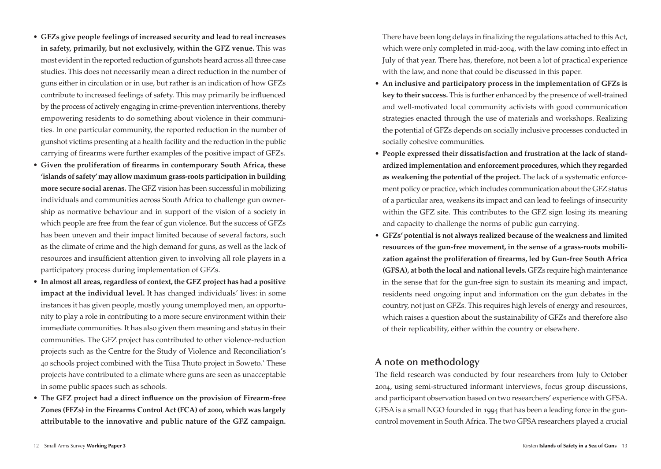- • **GFZs give people feelings of increased security and lead to real increases in safety, primarily, but not exclusively, within the GFZ venue.** This was most evident in the reported reduction of gunshots heard across all three case studies. This does not necessarily mean a direct reduction in the number of guns either in circulation or in use, but rather is an indication of how GFZs contribute to increased feelings of safety. This may primarily be influenced by the process of actively engaging in crime-prevention interventions, thereby empowering residents to do something about violence in their communities. In one particular community, the reported reduction in the number of gunshot victims presenting at a health facility and the reduction in the public carrying of firearms were further examples of the positive impact of GFZs.
- • **Given the proliferation of firearms in contemporary South Africa, these 'islands of safety' may allow maximum grass-roots participation in building more secure social arenas.** The GFZ vision has been successful in mobilizing individuals and communities across South Africa to challenge gun ownership as normative behaviour and in support of the vision of a society in which people are free from the fear of gun violence. But the success of GFZs has been uneven and their impact limited because of several factors, such as the climate of crime and the high demand for guns, as well as the lack of resources and insufficient attention given to involving all role players in a participatory process during implementation of GFZs.
- • **In almost all areas, regardless of context, the GFZ project has had a positive impact at the individual level.** It has changed individuals' lives: in some instances it has given people, mostly young unemployed men, an opportunity to play a role in contributing to a more secure environment within their immediate communities. It has also given them meaning and status in their communities. The GFZ project has contributed to other violence-reduction projects such as the Centre for the Study of Violence and Reconciliation's 40 schools project combined with the Tiisa Thuto project in Soweto.<sup>1</sup> These projects have contributed to a climate where guns are seen as unacceptable in some public spaces such as schools.
- • **The GFZ project had a direct influence on the provision of Firearm-free Zones (FFZs) in the Firearms Control Act (FCA) of 2000, which was largely attributable to the innovative and public nature of the GFZ campaign.**

There have been long delays in finalizing the regulations attached to this Act, which were only completed in mid-2004, with the law coming into effect in July of that year. There has, therefore, not been a lot of practical experience with the law, and none that could be discussed in this paper.

- • **An inclusive and participatory process in the implementation of GFZs is key to their success.** This is further enhanced by the presence of well-trained and well-motivated local community activists with good communication strategies enacted through the use of materials and workshops. Realizing the potential of GFZs depends on socially inclusive processes conducted in socially cohesive communities.
- People expressed their dissatisfaction and frustration at the lack of stand**ardized implementation and enforcement procedures, which they regarded as weakening the potential of the project.** The lack of a systematic enforcement policy or practice, which includes communication about the GFZ status of a particular area, weakens its impact and can lead to feelings of insecurity within the GFZ site. This contributes to the GFZ sign losing its meaning and capacity to challenge the norms of public gun carrying.
- • **GFZs' potential is not always realized because of the weakness and limited resources of the gun-free movement, in the sense of a grass-roots mobilization against the proliferation of firearms, led by Gun-free South Africa (GFSA), at both the local and national levels.** GFZs require high maintenance in the sense that for the gun-free sign to sustain its meaning and impact, residents need ongoing input and information on the gun debates in the country, not just on GFZs. This requires high levels of energy and resources, which raises a question about the sustainability of GFZs and therefore also of their replicability, either within the country or elsewhere.

## **A note on methodology**

The field research was conducted by four researchers from July to October 2004, using semi-structured informant interviews, focus group discussions, and participant observation based on two researchers' experience with GFSA. GFSA is a small NGO founded in 1994 that has been a leading force in the guncontrol movement in South Africa. The two GFSA researchers played a crucial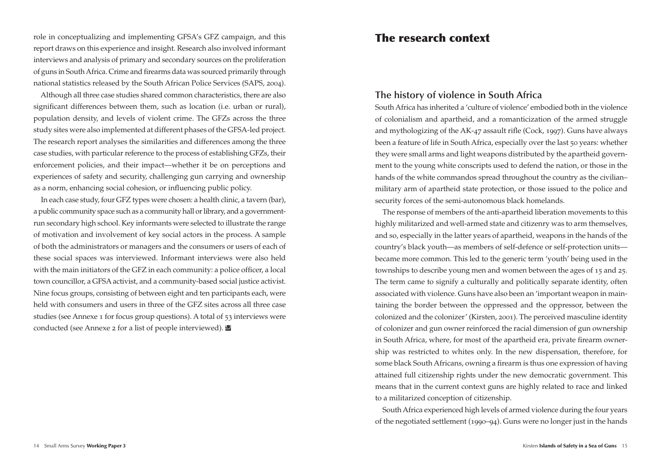role in conceptualizing and implementing GFSA's GFZ campaign, and this report draws on this experience and insight. Research also involved informant interviews and analysis of primary and secondary sources on the proliferation of guns in South Africa. Crime and firearms data was sourced primarily through national statistics released by the South African Police Services (SAPS, 2004).

Although all three case studies shared common characteristics, there are also significant differences between them, such as location (i.e. urban or rural), population density, and levels of violent crime. The GFZs across the three study sites were also implemented at different phases of the GFSA-led project. The research report analyses the similarities and differences among the three case studies, with particular reference to the process of establishing GFZs, their enforcement policies, and their impact—whether it be on perceptions and experiences of safety and security, challenging gun carrying and ownership as a norm, enhancing social cohesion, or influencing public policy.

In each case study, four GFZ types were chosen: a health clinic, a tavern (bar), a public community space such as a community hall or library, and a governmentrun secondary high school. Key informants were selected to illustrate the range of motivation and involvement of key social actors in the process. A sample of both the administrators or managers and the consumers or users of each of these social spaces was interviewed. Informant interviews were also held with the main initiators of the GFZ in each community: a police officer, a local town councillor, a GFSA activist, and a community-based social justice activist. Nine focus groups, consisting of between eight and ten participants each, were held with consumers and users in three of the GFZ sites across all three case studies (see Annexe 1 for focus group questions). A total of 53 interviews were conducted (see Annexe 2 for a list of people interviewed).

## The research context

## **The history of violence in South Africa**

South Africa has inherited a 'culture of violence' embodied both in the violence of colonialism and apartheid, and a romanticization of the armed struggle and mythologizing of the AK-47 assault rifle (Cock, 1997). Guns have always been a feature of life in South Africa, especially over the last 50 years: whether they were small arms and light weapons distributed by the apartheid government to the young white conscripts used to defend the nation, or those in the hands of the white commandos spread throughout the country as the civilian– military arm of apartheid state protection, or those issued to the police and security forces of the semi-autonomous black homelands.

The response of members of the anti-apartheid liberation movements to this highly militarized and well-armed state and citizenry was to arm themselves, and so, especially in the latter years of apartheid, weapons in the hands of the country's black youth—as members of self-defence or self-protection units became more common. This led to the generic term 'youth' being used in the townships to describe young men and women between the ages of 15 and 25. The term came to signify a culturally and politically separate identity, often associated with violence. Guns have also been an 'important weapon in maintaining the border between the oppressed and the oppressor, between the colonized and the colonizer' (Kirsten, 2001). The perceived masculine identity of colonizer and gun owner reinforced the racial dimension of gun ownership in South Africa, where, for most of the apartheid era, private firearm ownership was restricted to whites only. In the new dispensation, therefore, for some black South Africans, owning a firearm is thus one expression of having attained full citizenship rights under the new democratic government. This means that in the current context guns are highly related to race and linked to a militarized conception of citizenship.

South Africa experienced high levels of armed violence during the four years of the negotiated settlement (1990–94). Guns were no longer just in the hands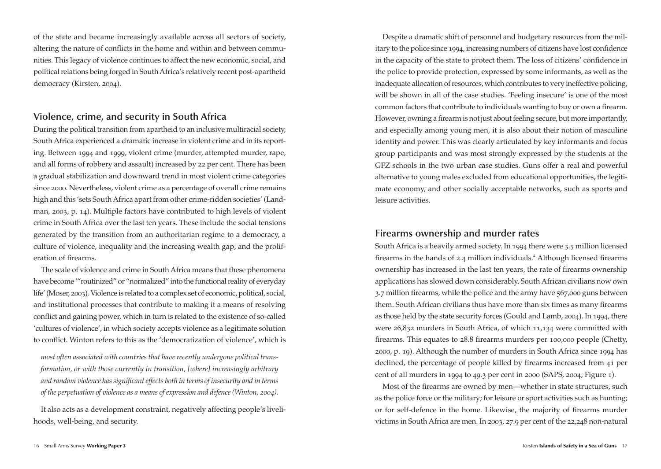of the state and became increasingly available across all sectors of society, altering the nature of conflicts in the home and within and between communities. This legacy of violence continues to affect the new economic, social, and political relations being forged in South Africa's relatively recent post-apartheid democracy (Kirsten, 2004).

## **Violence, crime, and security in South Africa**

During the political transition from apartheid to an inclusive multiracial society, South Africa experienced a dramatic increase in violent crime and in its reporting. Between 1994 and 1999, violent crime (murder, attempted murder, rape, and all forms of robbery and assault) increased by 22 per cent. There has been a gradual stabilization and downward trend in most violent crime categories since 2000. Nevertheless, violent crime as a percentage of overall crime remains high and this 'sets South Africa apart from other crime-ridden societies' (Landman, 2003, p. 14). Multiple factors have contributed to high levels of violent crime in South Africa over the last ten years. These include the social tensions generated by the transition from an authoritarian regime to a democracy, a culture of violence, inequality and the increasing wealth gap, and the proliferation of firearms.

The scale of violence and crime in South Africa means that these phenomena have become '"routinized" or "normalized" into the functional reality of everyday life' (Moser, 2003). Violence is related to a complex set of economic, political, social, and institutional processes that contribute to making it a means of resolving conflict and gaining power, which in turn is related to the existence of so-called 'cultures of violence', in which society accepts violence as a legitimate solution to conflict. Winton refers to this as the 'democratization of violence', which is

most often associated with countries that have recently undergone political trans*formation, or with those currently in transition, [where] increasingly arbitrary and random violence hassignificanteffects both in terms of insecurity and in terms of the perpetuation of violence as a means of expression and defence (Winton, 2004).* 

It also acts as a development constraint, negatively affecting people's livelihoods, well-being, and security.

Despite a dramatic shift of personnel and budgetary resources from the military to the police since 1994, increasing numbers of citizens have lost confidence in the capacity of the state to protect them. The loss of citizens' confidence in the police to provide protection, expressed by some informants, as well as the inadequate allocation of resources, which contributes to very ineffective policing, will be shown in all of the case studies. 'Feeling insecure' is one of the most common factors that contribute to individuals wanting to buy or own a firearm. However, owning a firearm is not just about feeling secure, but more importantly, and especially among young men, it is also about their notion of masculine identity and power. This was clearly articulated by key informants and focus group participants and was most strongly expressed by the students at the GFZ schools in the two urban case studies. Guns offer a real and powerful alternative to young males excluded from educational opportunities, the legitimate economy, and other socially acceptable networks, such as sports and leisure activities.

## **Firearms ownership and murder rates**

South Africa is a heavily armed society. In 1994 there were 3.5 million licensed firearms in the hands of 2.4 million individuals.<sup>2</sup> Although licensed firearms ownership has increased in the last ten years, the rate of firearms ownership applications has slowed down considerably. South African civilians now own 3.7 million firearms, while the police and the army have 567,000 guns between them. South African civilians thus have more than six times as many firearms as those held by the state security forces (Gould and Lamb, 2004). In 1994, there were 26,832 murders in South Africa, of which 11,134 were committed with firearms. This equates to 28.8 firearms murders per 100,000 people (Chetty, 2000, p. 19). Although the number of murders in South Africa since 1994 has declined, the percentage of people killed by firearms increased from 41 per cent of all murders in 1994 to 49.3 per cent in 2000 (SAPS, 2004; Figure 1).

Most of the firearms are owned by men—whether in state structures, such as the police force or the military; for leisure or sport activities such as hunting; or for self-defence in the home. Likewise, the majority of firearms murder victims in South Africa are men. In 2003, 27.9 per cent of the 22,248 non-natural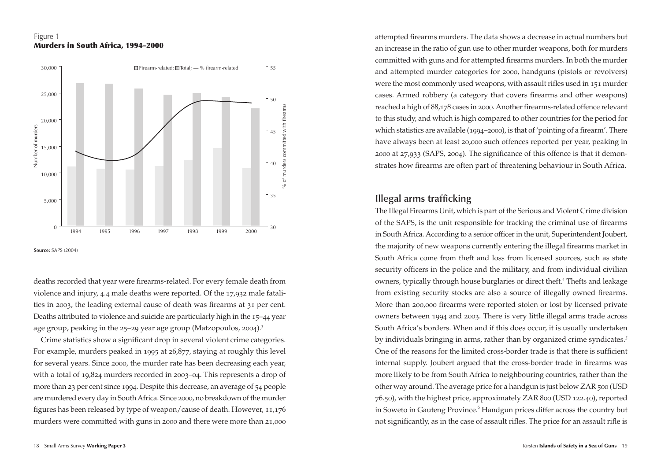#### Figure 1 Murders in South Africa, 1994–2000



**Source:** SAPS (2004)

deaths recorded that year were firearms-related. For every female death from violence and injury, 4.4 male deaths were reported. Of the 17,932 male fatalities in 2003, the leading external cause of death was firearms at 31 per cent. Deaths attributed to violence and suicide are particularly high in the 15–44 year age group, peaking in the 25–29 year age group (Matzopoulos, 2004).<sup>3</sup>

Crime statistics show a significant drop in several violent crime categories. For example, murders peaked in 1995 at 26,877, staying at roughly this level for several years. Since 2000, the murder rate has been decreasing each year, with a total of 19,824 murders recorded in 2003–04. This represents a drop of more than 23 per cent since 1994. Despite this decrease, an average of 54 people are murdered every day in South Africa. Since 2000, no breakdown of the murder figures has been released by type of weapon/cause of death. However, 11,176 murders were committed with guns in 2000 and there were more than 21,000

attempted firearms murders. The data shows a decrease in actual numbers but an increase in the ratio of gun use to other murder weapons, both for murders committed with guns and for attempted firearms murders. In both the murder and attempted murder categories for 2000, handguns (pistols or revolvers) were the most commonly used weapons, with assault rifles used in 151 murder cases. Armed robbery (a category that covers firearms and other weapons) reached a high of 88,178 cases in 2000. Another firearms-related offence relevant to this study, and which is high compared to other countries for the period for which statistics are available (1994–2000), is that of 'pointing of a firearm'. There have always been at least 20,000 such offences reported per year, peaking in 2000 at 27,933 (SAPS, 2004). The significance of this offence is that it demonstrates how firearms are often part of threatening behaviour in South Africa.

## **Illegal arms trafficking**

The Illegal Firearms Unit, which is part of the Serious and Violent Crime division of the SAPS, is the unit responsible for tracking the criminal use of firearms in South Africa. According to a senior officer in the unit, Superintendent Joubert, the majority of new weapons currently entering the illegal firearms market in South Africa come from theft and loss from licensed sources, such as state security officers in the police and the military, and from individual civilian owners, typically through house burglaries or direct theft.<sup>4</sup> Thefts and leakage from existing security stocks are also a source of illegally owned firearms. More than 200,000 firearms were reported stolen or lost by licensed private owners between 1994 and 2003. There is very little illegal arms trade across South Africa's borders. When and if this does occur, it is usually undertaken by individuals bringing in arms, rather than by organized crime syndicates.<sup>5</sup> One of the reasons for the limited cross-border trade is that there is sufficient internal supply. Joubert argued that the cross-border trade in firearms was more likely to be from South Africa to neighbouring countries, rather than the other way around. The average price for a handgun is just below ZAR 500 (USD 76.50), with the highest price, approximately ZAR 800 (USD 122.40), reported in Soweto in Gauteng Province.<sup>6</sup> Handgun prices differ across the country but not significantly, as in the case of assault rifles. The price for an assault rifle is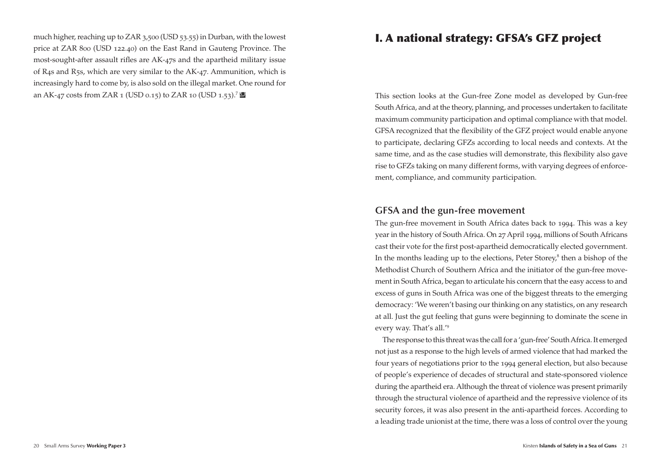much higher, reaching up to ZAR 3,500 (USD 53.55) in Durban, with the lowest price at ZAR 800 (USD 122.40) on the East Rand in Gauteng Province. The most-sought-after assault rifles are AK-47s and the apartheid military issue of R4s and R5s, which are very similar to the AK-47. Ammunition, which is increasingly hard to come by, is also sold on the illegal market. One round for an AK-47 costs from ZAR 1 (USD 0.15) to ZAR 10 (USD 1.53).<sup>7</sup>

## I. A national strategy: GFSA's GFZ project

This section looks at the Gun-free Zone model as developed by Gun-free South Africa, and at the theory, planning, and processes undertaken to facilitate maximum community participation and optimal compliance with that model. GFSA recognized that the flexibility of the GFZ project would enable anyone to participate, declaring GFZs according to local needs and contexts. At the same time, and as the case studies will demonstrate, this flexibility also gave rise to GFZs taking on many different forms, with varying degrees of enforcement, compliance, and community participation.

## **GFSA and the gun-free movement**

The gun-free movement in South Africa dates back to 1994. This was a key year in the history of South Africa. On 27 April 1994, millions of South Africans cast their vote for the first post-apartheid democratically elected government. In the months leading up to the elections, Peter Storey, $^8$  then a bishop of the Methodist Church of Southern Africa and the initiator of the gun-free movement in South Africa, began to articulate his concern that the easy access to and excess of guns in South Africa was one of the biggest threats to the emerging democracy: 'We weren't basing our thinking on any statistics, on any research at all. Just the gut feeling that guns were beginning to dominate the scene in every way. That's all.'<sup>9</sup>

The response to this threat was the call for a 'gun-free' South Africa. It emerged not just as a response to the high levels of armed violence that had marked the four years of negotiations prior to the 1994 general election, but also because of people's experience of decades of structural and state-sponsored violence during the apartheid era. Although the threat of violence was present primarily through the structural violence of apartheid and the repressive violence of its security forces, it was also present in the anti-apartheid forces. According to a leading trade unionist at the time, there was a loss of control over the young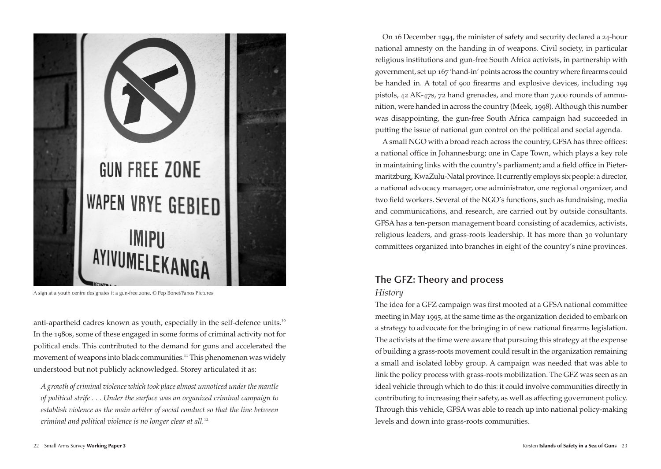

A sign at a youth centre designates it a gun-free zone. © Pep Bonet/Panos Pictures

anti-apartheid cadres known as youth, especially in the self-defence units.<sup>10</sup> In the 1980s, some of these engaged in some forms of criminal activity not for political ends. This contributed to the demand for guns and accelerated the movement of weapons into black communities.<sup>11</sup> This phenomenon was widely understood but not publicly acknowledged. Storey articulated it as:

*A growth of criminal violence which took place almost unnoticed underthe mantle of political strife . . . Under the surface was an organized criminal campaign to establish violence as the main arbiter of social conduct so that the line between criminal and political violence is no longer clear at all.* 12

On 16 December 1994, the minister of safety and security declared a 24-hour national amnesty on the handing in of weapons. Civil society, in particular religious institutions and gun-free South Africa activists, in partnership with government, set up 167 'hand-in' points across the country where firearms could be handed in. A total of 900 firearms and explosive devices, including 199 pistols, 42 AK-47s, 72 hand grenades, and more than 7,000 rounds of ammunition, were handed in across the country (Meek, 1998). Although this number was disappointing, the gun-free South Africa campaign had succeeded in putting the issue of national gun control on the political and social agenda.

A small NGO with a broad reach across the country, GFSA has three offices: a national office in Johannesburg; one in Cape Town, which plays a key role in maintaining links with the country's parliament; and a field office in Pietermaritzburg, KwaZulu-Natal province. It currently employs six people: a director, a national advocacy manager, one administrator, one regional organizer, and two field workers. Several of the NGO's functions, such as fundraising, media and communications, and research, are carried out by outside consultants. GFSA has a ten-person management board consisting of academics, activists, religious leaders, and grass-roots leadership. It has more than 30 voluntary committees organized into branches in eight of the country's nine provinces.

## **The GFZ: Theory and process**

#### *History*

The idea for a GFZ campaign was first mooted at a GFSA national committee meeting in May 1995, at the same time as the organization decided to embark on a strategy to advocate for the bringing in of new national firearms legislation. The activists at the time were aware that pursuing this strategy at the expense of building a grass-roots movement could result in the organization remaining a small and isolated lobby group. A campaign was needed that was able to link the policy process with grass-roots mobilization. The GFZ was seen as an ideal vehicle through which to do this: it could involve communities directly in contributing to increasing their safety, as well as affecting government policy. Through this vehicle, GFSA was able to reach up into national policy-making levels and down into grass-roots communities.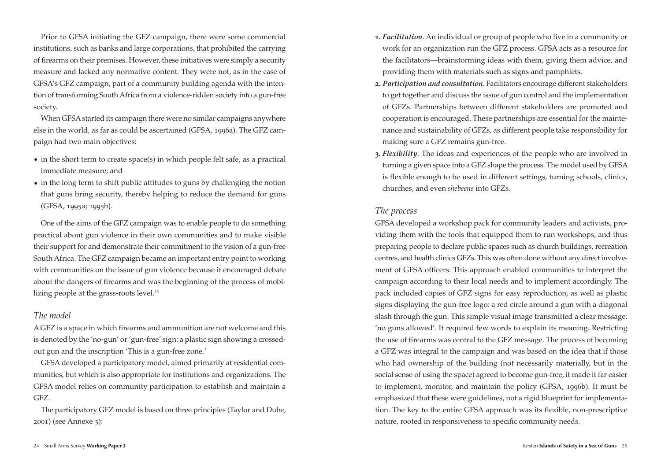Prior to GFSA initiating the GFZ campaign, there were some commercial institutions, such as banks and large corporations, that prohibited the carrying of firearms on their premises. However, these initiatives were simply a security measure and lacked any normative content. They were not, as in the case of GFSA's GFZ campaign, part of a community building agenda with the intention of transforming South Africa from a violence-ridden society into a gun-free society.

When GFSA started its campaign there were no similar campaigns anywhere else in the world, as far as could be ascertained (GFSA, 1996a). The GFZ campaign had two main objectives:

- in the short term to create space(s) in which people felt safe, as a practical immediate measure; and
- in the long term to shift public attitudes to guns by challenging the notion that guns bring security, thereby helping to reduce the demand for guns (GFSA, 1995a; 1995b).

One of the aims of the GFZ campaign was to enable people to do something practical about gun violence in their own communities and to make visible their support for and demonstrate their commitment to the vision of a gun-free South Africa. The GFZ campaign became an important entry point to working with communities on the issue of gun violence because it encouraged debate about the dangers of firearms and was the beginning of the process of mobilizing people at the grass-roots level. $^{13}$ 

#### *The model*

A GFZ is a space in which firearms and ammunition are not welcome and this is denoted by the 'no-gun' or 'gun-free' sign: a plastic sign showing a crossedout gun and the inscription 'This is a gun-free zone.'

GFSA developed a participatory model, aimed primarily at residential communities, but which is also appropriate for institutions and organizations. The GFSA model relies on community participation to establish and maintain a GFZ.

The participatory GFZ model is based on three principles (Taylor and Dube, 2001) (see Annexe 3):

- **1***. Facilitation*. An individual or group of people who live in a community or work for an organization run the GFZ process. GFSA acts as a resource for the facilitators—brainstorming ideas with them, giving them advice, and providing them with materials such as signs and pamphlets.
- **2***. Participation and consultation*. Facilitators encourage different stakeholders to get together and discuss the issue of gun control and the implementation of GFZs. Partnerships between different stakeholders are promoted and cooperation is encouraged. These partnerships are essential for the maintenance and sustainability of GFZs, as different people take responsibility for making sure a GFZ remains gun-free.
- **3.** Flexibility. The ideas and experiences of the people who are involved in turning a given space into a GFZ shape the process. The model used by GFSA is flexible enough to be used in different settings, turning schools, clinics, churches, and even *shebeens* into GFZs.

### *The process*

GFSA developed a workshop pack for community leaders and activists, providing them with the tools that equipped them to run workshops, and thus preparing people to declare public spaces such as church buildings, recreation centres, and health clinics GFZs. This was often done without any direct involvement of GFSA officers. This approach enabled communities to interpret the campaign according to their local needs and to implement accordingly. The pack included copies of GFZ signs for easy reproduction, as well as plastic signs displaying the gun-free logo: a red circle around a gun with a diagonal slash through the gun. This simple visual image transmitted a clear message: 'no guns allowed'. It required few words to explain its meaning. Restricting the use of firearms was central to the GFZ message. The process of becoming a GFZ was integral to the campaign and was based on the idea that if those who had ownership of the building (not necessarily materially, but in the social sense of using the space) agreed to become gun-free, it made it far easier to implement, monitor, and maintain the policy (GFSA, 1996b). It must be emphasized that these were guidelines, not a rigid blueprint for implementation. The key to the entire GFSA approach was its flexible, non-prescriptive nature, rooted in responsiveness to specific community needs.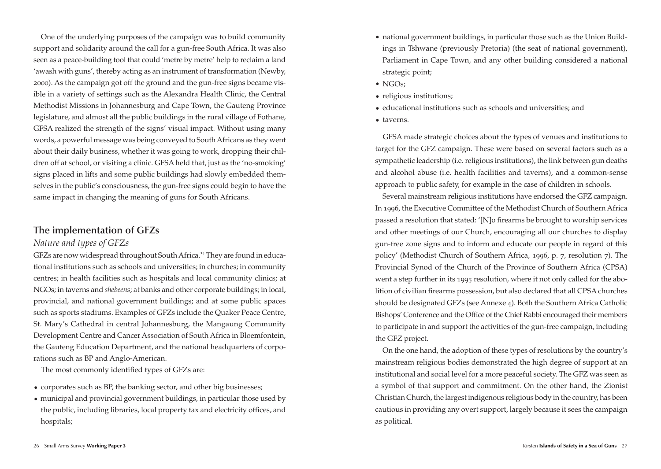One of the underlying purposes of the campaign was to build community support and solidarity around the call for a gun-free South Africa. It was also seen as a peace-building tool that could 'metre by metre' help to reclaim a land 'awash with guns', thereby acting as an instrument of transformation (Newby, 2000). As the campaign got off the ground and the gun-free signs became visible in a variety of settings such as the Alexandra Health Clinic, the Central Methodist Missions in Johannesburg and Cape Town, the Gauteng Province legislature, and almost all the public buildings in the rural village of Fothane, GFSA realized the strength of the signs' visual impact. Without using many words, a powerful message was being conveyed to South Africans as they went about their daily business, whether it was going to work, dropping their children off at school, or visiting a clinic. GFSA held that, just as the 'no-smoking' signs placed in lifts and some public buildings had slowly embedded themselves in the public's consciousness, the gun-free signs could begin to have the same impact in changing the meaning of guns for South Africans.

## **The implementation of GFZs**

#### *Nature and types of GFZs*

GFZs are now widespread throughout South Africa.<sup>14</sup> They are found in educational institutions such as schools and universities; in churches; in community centres; in health facilities such as hospitals and local community clinics; at NGOs; in taverns and *shebeens*; at banks and other corporate buildings; in local, provincial, and national government buildings; and at some public spaces such as sports stadiums. Examples of GFZs include the Quaker Peace Centre, St. Mary's Cathedral in central Johannesburg, the Mangaung Community Development Centre and Cancer Association of South Africa in Bloemfontein, the Gauteng Education Department, and the national headquarters of corporations such as BP and Anglo-American.

The most commonly identified types of GFZs are:

- corporates such as BP, the banking sector, and other big businesses;
- municipal and provincial government buildings, in particular those used by the public, including libraries, local property tax and electricity offices, and hospitals;
- national government buildings, in particular those such as the Union Buildings in Tshwane (previously Pretoria) (the seat of national government), Parliament in Cape Town, and any other building considered a national strategic point;
- NGOs;
- religious institutions;
- educational institutions such as schools and universities; and
- taverns.

GFSA made strategic choices about the types of venues and institutions to target for the GFZ campaign. These were based on several factors such as a sympathetic leadership (i.e. religious institutions), the link between gun deaths and alcohol abuse (i.e. health facilities and taverns), and a common-sense approach to public safety, for example in the case of children in schools.

Several mainstream religious institutions have endorsed the GFZ campaign. In 1996, the Executive Committee of the Methodist Church of Southern Africa passed a resolution that stated: '[N]o firearms be brought to worship services and other meetings of our Church, encouraging all our churches to display gun-free zone signs and to inform and educate our people in regard of this policy' (Methodist Church of Southern Africa, 1996, p. 7, resolution 7). The Provincial Synod of the Church of the Province of Southern Africa (CPSA) went a step further in its 1995 resolution, where it not only called for the abolition of civilian firearms possession, but also declared that all CPSA churches should be designated GFZs (see Annexe 4). Both the Southern Africa Catholic Bishops' Conference and the Office of the Chief Rabbi encouraged their members to participate in and support the activities of the gun-free campaign, including the GFZ project.

On the one hand, the adoption of these types of resolutions by the country's mainstream religious bodies demonstrated the high degree of support at an institutional and social level for a more peaceful society. The GFZ was seen as a symbol of that support and commitment. On the other hand, the Zionist Christian Church, the largest indigenous religious body in the country, has been cautious in providing any overt support, largely because it sees the campaign as political.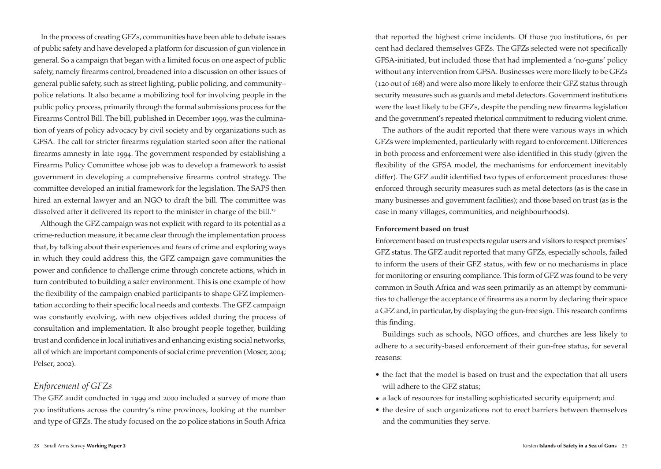In the process of creating GFZs, communities have been able to debate issues of public safety and have developed a platform for discussion of gun violence in general. So a campaign that began with a limited focus on one aspect of public safety, namely firearms control, broadened into a discussion on other issues of general public safety, such as street lighting, public policing, and community– police relations. It also became a mobilizing tool for involving people in the public policy process, primarily through the formal submissions process for the Firearms Control Bill. The bill, published in December 1999, was the culmination of years of policy advocacy by civil society and by organizations such as GFSA. The call for stricter firearms regulation started soon after the national firearms amnesty in late 1994. The government responded by establishing a Firearms Policy Committee whose job was to develop a framework to assist government in developing a comprehensive firearms control strategy. The committee developed an initial framework for the legislation. The SAPS then hired an external lawyer and an NGO to draft the bill. The committee was dissolved after it delivered its report to the minister in charge of the bill.<sup>15</sup>

Although the GFZ campaign was not explicit with regard to its potential as a crime-reduction measure, it became clear through the implementation process that, by talking about their experiences and fears of crime and exploring ways in which they could address this, the GFZ campaign gave communities the power and confidence to challenge crime through concrete actions, which in turn contributed to building a safer environment. This is one example of how the flexibility of the campaign enabled participants to shape GFZ implementation according to their specific local needs and contexts. The GFZ campaign was constantly evolving, with new objectives added during the process of consultation and implementation. It also brought people together, building trust and confidence in local initiatives and enhancing existing social networks, all of which are important components of social crime prevention (Moser, 2004; Pelser, 2002).

### *Enforcement of GFZs*

The GFZ audit conducted in 1999 and 2000 included a survey of more than 700 institutions across the country's nine provinces, looking at the number and type of GFZs. The study focused on the 20 police stations in South Africa

that reported the highest crime incidents. Of those 700 institutions, 61 per cent had declared themselves GFZs. The GFZs selected were not specifically GFSA-initiated, but included those that had implemented a 'no-guns' policy without any intervention from GFSA. Businesses were more likely to be GFZs (120 out of 168) and were also more likely to enforce their GFZ status through security measures such as guards and metal detectors. Government institutions were the least likely to be GFZs, despite the pending new firearms legislation and the government's repeated rhetorical commitment to reducing violent crime.

The authors of the audit reported that there were various ways in which GFZs were implemented, particularly with regard to enforcement. Differences in both process and enforcement were also identified in this study (given the flexibility of the GFSA model, the mechanisms for enforcement inevitably differ). The GFZ audit identified two types of enforcement procedures: those enforced through security measures such as metal detectors (as is the case in many businesses and government facilities); and those based on trust (as is the case in many villages, communities, and neighbourhoods).

#### **Enforcement based on trust**

Enforcement based on trust expects regular users and visitors to respect premises' GFZ status. The GFZ audit reported that many GFZs, especially schools, failed to inform the users of their GFZ status, with few or no mechanisms in place for monitoring or ensuring compliance. This form of GFZ was found to be very common in South Africa and was seen primarily as an attempt by communities to challenge the acceptance of firearms as a norm by declaring their space a GFZ and, in particular, by displaying the gun-free sign. This research confirms this finding.

Buildings such as schools, NGO offices, and churches are less likely to adhere to a security-based enforcement of their gun-free status, for several reasons:

- the fact that the model is based on trust and the expectation that all users will adhere to the GFZ status;
- a lack of resources for installing sophisticated security equipment; and
- the desire of such organizations not to erect barriers between themselves and the communities they serve.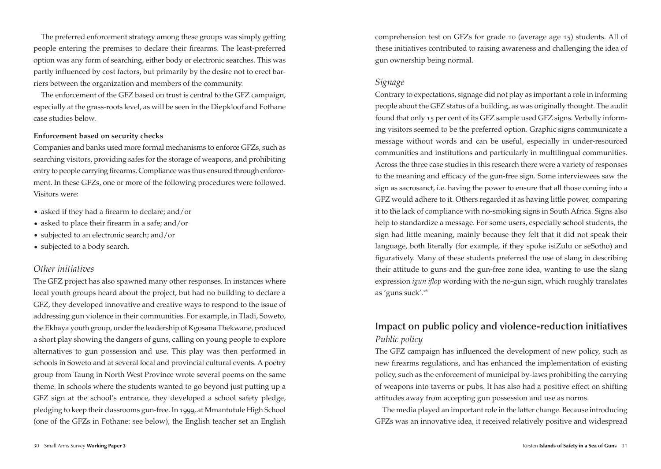The preferred enforcement strategy among these groups was simply getting people entering the premises to declare their firearms. The least-preferred option was any form of searching, either body or electronic searches. This was partly influenced by cost factors, but primarily by the desire not to erect barriers between the organization and members of the community.

The enforcement of the GFZ based on trust is central to the GFZ campaign, especially at the grass-roots level, as will be seen in the Diepkloof and Fothane case studies below.

#### **Enforcement based on security checks**

Companies and banks used more formal mechanisms to enforce GFZs, such as searching visitors, providing safes for the storage of weapons, and prohibiting entry to people carrying firearms. Compliance was thus ensured through enforcement. In these GFZs, one or more of the following procedures were followed. Visitors were:

- asked if they had a firearm to declare; and/or
- asked to place their firearm in a safe; and/or
- subjected to an electronic search; and/or
- subjected to a body search.

#### *Other initiatives*

The GFZ project has also spawned many other responses. In instances where local youth groups heard about the project, but had no building to declare a GFZ, they developed innovative and creative ways to respond to the issue of addressing gun violence in their communities. For example, in Tladi, Soweto, the Ekhaya youth group, under the leadership of Kgosana Thekwane, produced a short play showing the dangers of guns, calling on young people to explore alternatives to gun possession and use. This play was then performed in schools in Soweto and at several local and provincial cultural events. A poetry group from Taung in North West Province wrote several poems on the same theme. In schools where the students wanted to go beyond just putting up a GFZ sign at the school's entrance, they developed a school safety pledge, pledging to keep their classrooms gun-free. In 1999, at Mmantutule High School (one of the GFZs in Fothane: see below), the English teacher set an English

comprehension test on GFZs for grade 10 (average age 15) students. All of these initiatives contributed to raising awareness and challenging the idea of gun ownership being normal.

#### *Signage*

Contrary to expectations, signage did not play as important a role in informing people about the GFZ status of a building, as was originally thought. The audit found that only 15 per cent of its GFZ sample used GFZ signs. Verbally informing visitors seemed to be the preferred option. Graphic signs communicate a message without words and can be useful, especially in under-resourced communities and institutions and particularly in multilingual communities. Across the three case studies in this research there were a variety of responses to the meaning and efficacy of the gun-free sign. Some interviewees saw the sign as sacrosanct, i.e. having the power to ensure that all those coming into a GFZ would adhere to it. Others regarded it as having little power, comparing it to the lack of compliance with no-smoking signs in South Africa. Signs also help to standardize a message. For some users, especially school students, the sign had little meaning, mainly because they felt that it did not speak their language, both literally (for example, if they spoke isiZulu or seSotho) and figuratively. Many of these students preferred the use of slang in describing their attitude to guns and the gun-free zone idea, wanting to use the slang expression *igun iflop* wording with the no-gun sign, which roughly translates as 'guns suck'.<sup>16</sup>

## **Impact on public policy and violence-reduction initiatives** *Public policy*

The GFZ campaign has influenced the development of new policy, such as new firearms regulations, and has enhanced the implementation of existing policy, such as the enforcement of municipal by-laws prohibiting the carrying of weapons into taverns or pubs. It has also had a positive effect on shifting attitudes away from accepting gun possession and use as norms.

The media played an important role in the latter change. Because introducing GFZs was an innovative idea, it received relatively positive and widespread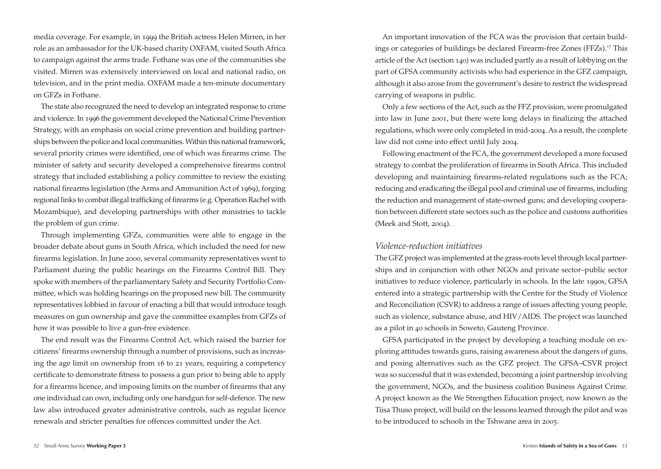media coverage. For example, in 1999 the British actress Helen Mirren, in her role as an ambassador for the UK-based charity OXFAM, visited South Africa to campaign against the arms trade. Fothane was one of the communities she visited. Mirren was extensively interviewed on local and national radio, on television, and in the print media. OXFAM made a ten-minute documentary on GFZs in Fothane.

The state also recognized the need to develop an integrated response to crime and violence. In 1996 the government developed the National Crime Prevention Strategy, with an emphasis on social crime prevention and building partnerships between the police and local communities. Within this national framework, several priority crimes were identified, one of which was firearms crime. The minister of safety and security developed a comprehensive firearms control strategy that included establishing a policy committee to review the existing national firearms legislation (the Arms and Ammunition Act of 1969), forging regional links to combat illegal trafficking of firearms (e.g. Operation Rachel with Mozambique), and developing partnerships with other ministries to tackle the problem of gun crime.

Through implementing GFZs, communities were able to engage in the broader debate about guns in South Africa, which included the need for new firearms legislation. In June 2000, several community representatives went to Parliament during the public hearings on the Firearms Control Bill. They spoke with members of the parliamentary Safety and Security Portfolio Committee, which was holding hearings on the proposed new bill. The community representatives lobbied in favour of enacting a bill that would introduce tough measures on gun ownership and gave the committee examples from GFZs of how it was possible to live a gun-free existence.

The end result was the Firearms Control Act, which raised the barrier for citizens' firearms ownership through a number of provisions, such as increasing the age limit on ownership from 16 to 21 years, requiring a competency certificate to demonstrate fitness to possess a gun prior to being able to apply for a firearms licence, and imposing limits on the number of firearms that any one individual can own, including only one handgun for self-defence. The new law also introduced greater administrative controls, such as regular licence renewals and stricter penalties for offences committed under the Act.

An important innovation of the FCA was the provision that certain buildings or categories of buildings be declared Firearm-free Zones (FFZs).<sup>17</sup> This article of the Act (section 140) was included partly as a result of lobbying on the part of GFSA community activists who had experience in the GFZ campaign, although it also arose from the government's desire to restrict the widespread carrying of weapons in public.

Only a few sections of the Act, such as the FFZ provision, were promulgated into law in June 2001, but there were long delays in finalizing the attached regulations, which were only completed in mid-2004. As a result, the complete law did not come into effect until July 2004.

Following enactment of the FCA, the government developed a more focused strategy to combat the proliferation of firearms in South Africa. This included developing and maintaining firearms-related regulations such as the FCA; reducing and eradicating the illegal pool and criminal use of firearms, including the reduction and management of state-owned guns; and developing cooperation between different state sectors such as the police and customs authorities (Meek and Stott, 2004).

#### *Violence-reduction initiatives*

The GFZ project was implemented at the grass-roots level through local partnerships and in conjunction with other NGOs and private sector–public sector initiatives to reduce violence, particularly in schools. In the late 1990s, GFSA entered into a strategic partnership with the Centre for the Study of Violence and Reconciliation (CSVR) to address a range of issues affecting young people, such as violence, substance abuse, and HIV/AIDS. The project was launched as a pilot in 40 schools in Soweto, Gauteng Province.

GFSA participated in the project by developing a teaching module on exploring attitudes towards guns, raising awareness about the dangers of guns, and posing alternatives such as the GFZ project. The GFSA–CSVR project was so successful that it was extended, becoming a joint partnership involving the government, NGOs, and the business coalition Business Against Crime. A project known as the We Strengthen Education project, now known as the Tiisa Thuso project, will build on the lessons learned through the pilot and was to be introduced to schools in the Tshwane area in 2005.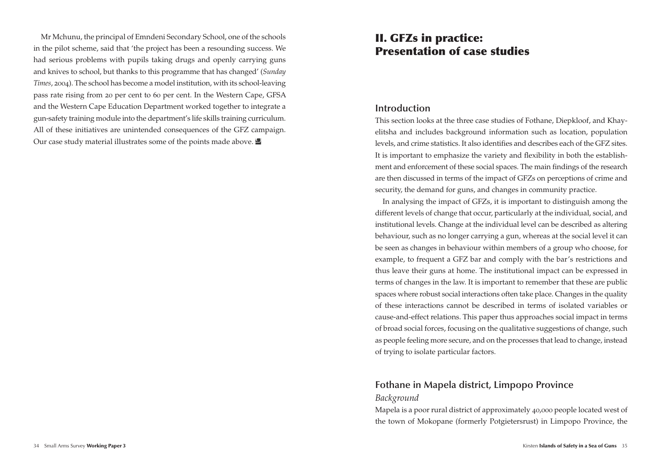Mr Mchunu, the principal of Emndeni Secondary School, one of the schools in the pilot scheme, said that 'the project has been a resounding success. We had serious problems with pupils taking drugs and openly carrying guns and knives to school, but thanks to this programme that has changed' (*Sunday Times*, 2004). The school has become a model institution, with its school-leaving pass rate rising from 20 per cent to 60 per cent. In the Western Cape, GFSA and the Western Cape Education Department worked together to integrate a gun-safety training module into the department's life skills training curriculum. All of these initiatives are unintended consequences of the GFZ campaign. Our case study material illustrates some of the points made above.

## II. GFZs in practice: Presentation of case studies

## **Introduction**

This section looks at the three case studies of Fothane, Diepkloof, and Khayelitsha and includes background information such as location, population levels, and crime statistics. It also identifies and describes each of the GFZ sites. It is important to emphasize the variety and flexibility in both the establishment and enforcement of these social spaces. The main findings of the research are then discussed in terms of the impact of GFZs on perceptions of crime and security, the demand for guns, and changes in community practice.

In analysing the impact of GFZs, it is important to distinguish among the different levels of change that occur, particularly at the individual, social, and institutional levels. Change at the individual level can be described as altering behaviour, such as no longer carrying a gun, whereas at the social level it can be seen as changes in behaviour within members of a group who choose, for example, to frequent a GFZ bar and comply with the bar's restrictions and thus leave their guns at home. The institutional impact can be expressed in terms of changes in the law. It is important to remember that these are public spaces where robust social interactions often take place. Changes in the quality of these interactions cannot be described in terms of isolated variables or cause-and-effect relations. This paper thus approaches social impact in terms of broad social forces, focusing on the qualitative suggestions of change, such as people feeling more secure, and on the processes that lead to change, instead of trying to isolate particular factors.

## **Fothane in Mapela district, Limpopo Province**

#### *Background*

Mapela is a poor rural district of approximately 40,000 people located west of the town of Mokopane (formerly Potgietersrust) in Limpopo Province, the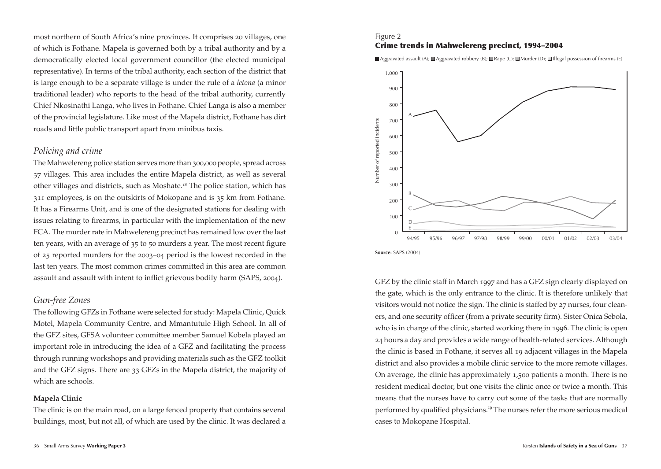most northern of South Africa's nine provinces. It comprises 20 villages, one of which is Fothane. Mapela is governed both by a tribal authority and by a democratically elected local government councillor (the elected municipal representative). In terms of the tribal authority, each section of the district that is large enough to be a separate village is under the rule of a *letona* (a minor traditional leader) who reports to the head of the tribal authority, currently Chief Nkosinathi Langa, who lives in Fothane. Chief Langa is also a member of the provincial legislature. Like most of the Mapela district, Fothane has dirt roads and little public transport apart from minibus taxis.

### *Policing and crime*

The Mahwelereng police station serves more than 300,000 people, spread across 37 villages. This area includes the entire Mapela district, as well as several other villages and districts, such as Moshate.<sup>18</sup> The police station, which has 311 employees, is on the outskirts of Mokopane and is 35 km from Fothane. It has a Firearms Unit, and is one of the designated stations for dealing with issues relating to firearms, in particular with the implementation of the new FCA. The murder rate in Mahwelereng precinct has remained low over the last ten years, with an average of 35 to 50 murders a year. The most recent figure of 25 reported murders for the 2003–04 period is the lowest recorded in the last ten years. The most common crimes committed in this area are common assault and assault with intent to inflict grievous bodily harm (SAPS, 2004).

### *Gun-free Zones*

The following GFZs in Fothane were selected for study: Mapela Clinic, Quick Motel, Mapela Community Centre, and Mmantutule High School. In all of the GFZ sites, GFSA volunteer committee member Samuel Kobela played an important role in introducing the idea of a GFZ and facilitating the process through running workshops and providing materials such as the GFZ toolkit and the GFZ signs. There are 33 GFZs in the Mapela district, the majority of which are schools.

#### **Mapela Clinic**

The clinic is on the main road, on a large fenced property that contains several buildings, most, but not all, of which are used by the clinic. It was declared a

## Figure 2

## Crime trends in Mahwelereng precinct, 1994–2004

Aggravated assault (A);  $\blacksquare$  Aggravated robbery (B);  $\blacksquare$  Rape (C);  $\blacksquare$  Murder (D);  $\blacksquare$  Illegal possession of firearms (E)



**Source:** SAPS (2004)

GFZ by the clinic staff in March 1997 and has a GFZ sign clearly displayed on the gate, which is the only entrance to the clinic. It is therefore unlikely that visitors would not notice the sign. The clinic is staffed by 27 nurses, four cleaners, and one security officer (from a private security firm). Sister Onica Sebola, who is in charge of the clinic, started working there in 1996. The clinic is open 24 hours a day and provides a wide range of health-related services. Although the clinic is based in Fothane, it serves all 19 adjacent villages in the Mapela district and also provides a mobile clinic service to the more remote villages. On average, the clinic has approximately 1,500 patients a month. There is no resident medical doctor, but one visits the clinic once or twice a month. This means that the nurses have to carry out some of the tasks that are normally performed by qualified physicians.<sup>19</sup> The nurses refer the more serious medical cases to Mokopane Hospital.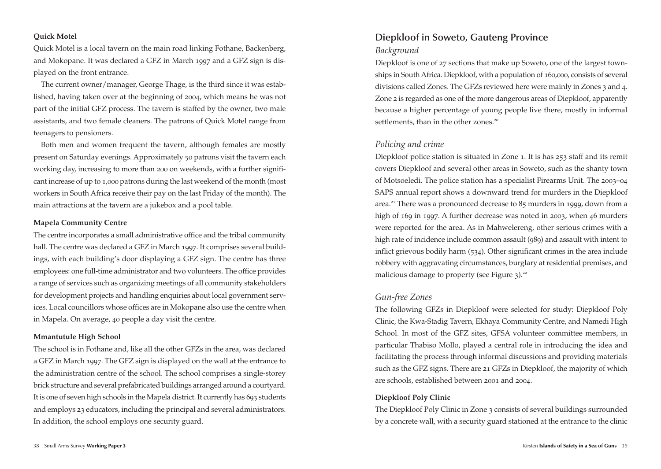#### **Quick Motel**

Quick Motel is a local tavern on the main road linking Fothane, Backenberg, and Mokopane. It was declared a GFZ in March 1997 and a GFZ sign is displayed on the front entrance.

The current owner/manager, George Thage, is the third since it was established, having taken over at the beginning of 2004, which means he was not part of the initial GFZ process. The tavern is staffed by the owner, two male assistants, and two female cleaners. The patrons of Quick Motel range from teenagers to pensioners.

Both men and women frequent the tavern, although females are mostly present on Saturday evenings. Approximately 50 patrons visit the tavern each working day, increasing to more than 200 on weekends, with a further significant increase of up to 1,000 patrons during the last weekend of the month (most workers in South Africa receive their pay on the last Friday of the month). The main attractions at the tavern are a jukebox and a pool table.

#### **Mapela Community Centre**

The centre incorporates a small administrative office and the tribal community hall. The centre was declared a GFZ in March 1997. It comprises several buildings, with each building's door displaying a GFZ sign. The centre has three employees: one full-time administrator and two volunteers. The office provides a range of services such as organizing meetings of all community stakeholders for development projects and handling enquiries about local government services. Local councillors whose offices are in Mokopane also use the centre when in Mapela. On average, 40 people a day visit the centre.

#### **Mmantutule High School**

The school is in Fothane and, like all the other GFZs in the area, was declared a GFZ in March 1997. The GFZ sign is displayed on the wall at the entrance to the administration centre of the school. The school comprises a single-storey brick structure and several prefabricated buildings arranged around a courtyard. It is one of seven high schools in the Mapela district. It currently has 693 students and employs 23 educators, including the principal and several administrators. In addition, the school employs one security guard.

## **Diepkloof in Soweto, Gauteng Province** *Background*

Diepkloof is one of 27 sections that make up Soweto, one of the largest townships in South Africa. Diepkloof, with a population of 160,000, consists of several divisions called Zones. The GFZs reviewed here were mainly in Zones 3 and 4. Zone 2 is regarded as one of the more dangerous areas of Diepkloof, apparently because a higher percentage of young people live there, mostly in informal settlements, than in the other zones.<sup>20</sup>

### *Policing and crime*

Diepkloof police station is situated in Zone 1. It is has 253 staff and its remit covers Diepkloof and several other areas in Soweto, such as the shanty town of Motsoeledi. The police station has a specialist Firearms Unit. The 2003–04 SAPS annual report shows a downward trend for murders in the Diepkloof area.<sup>21</sup> There was a pronounced decrease to  $85$  murders in 1999, down from a high of 169 in 1997. A further decrease was noted in 2003, when 46 murders were reported for the area. As in Mahwelereng, other serious crimes with a high rate of incidence include common assault (989) and assault with intent to inflict grievous bodily harm (534). Other significant crimes in the area include robbery with aggravating circumstances, burglary at residential premises, and malicious damage to property (see Figure  $3$ ).<sup>22</sup>

### *Gun-free Zones*

The following GFZs in Diepkloof were selected for study: Diepkloof Poly Clinic, the Kwa-Stadig Tavern, Ekhaya Community Centre, and Namedi High School. In most of the GFZ sites, GFSA volunteer committee members, in particular Thabiso Mollo, played a central role in introducing the idea and facilitating the process through informal discussions and providing materials such as the GFZ signs. There are 21 GFZs in Diepkloof, the majority of which are schools, established between 2001 and 2004.

#### **Diepkloof Poly Clinic**

The Diepkloof Poly Clinic in Zone 3 consists of several buildings surrounded by a concrete wall, with a security guard stationed at the entrance to the clinic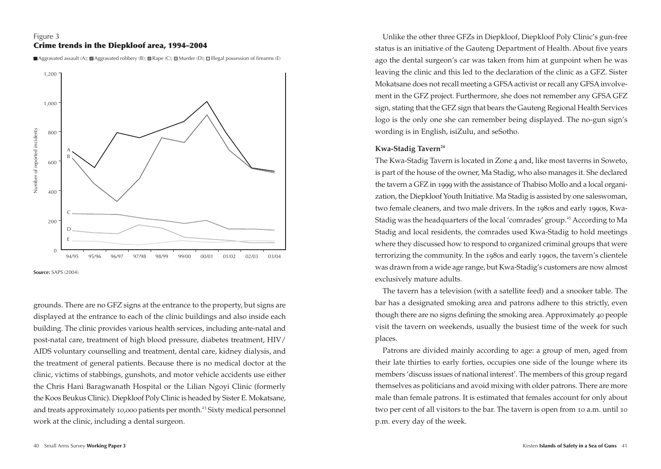### Figure 3 Crime trends in the Diepkloof area, 1994–2004

Aggravated assault (A);  $\blacksquare$  Aggravated robbery (B);  $\blacksquare$  Rape (C);  $\blacksquare$  Murder (D);  $\square$  Illegal possession of firearms (E)



**Source:** SAPS (2004)

grounds. There are no GFZ signs at the entrance to the property, but signs are displayed at the entrance to each of the clinic buildings and also inside each building. The clinic provides various health services, including ante-natal and post-natal care, treatment of high blood pressure, diabetes treatment, HIV/ AIDS voluntary counselling and treatment, dental care, kidney dialysis, and the treatment of general patients. Because there is no medical doctor at the clinic, victims of stabbings, gunshots, and motor vehicle accidents use either the Chris Hani Baragwanath Hospital or the Lilian Ngoyi Clinic (formerly the Koos Beukus Clinic). Diepkloof Poly Clinic is headed by Sister E. Mokatsane, and treats approximately 10,000 patients per month.<sup>23</sup> Sixty medical personnel work at the clinic, including a dental surgeon.

Unlike the other three GFZs in Diepkloof, Diepkloof Poly Clinic's gun-free status is an initiative of the Gauteng Department of Health. About five years ago the dental surgeon's car was taken from him at gunpoint when he was leaving the clinic and this led to the declaration of the clinic as a GFZ. Sister Mokatsane does not recall meeting a GFSA activist or recall any GFSA involvement in the GFZ project. Furthermore, she does not remember any GFSA GFZ sign, stating that the GFZ sign that bears the Gauteng Regional Health Services logo is the only one she can remember being displayed. The no-gun sign's wording is in English, isiZulu, and seSotho.

#### **Kwa-Stadig Tavern<sup>24</sup>**

The Kwa-Stadig Tavern is located in Zone 4 and, like most taverns in Soweto, is part of the house of the owner, Ma Stadig, who also manages it. She declared the tavern a GFZ in 1999 with the assistance of Thabiso Mollo and a local organization, the Diepkloof Youth Initiative. Ma Stadig is assisted by one saleswoman, two female cleaners, and two male drivers. In the 1980s and early 1990s, Kwa-Stadig was the headquarters of the local 'comrades' group.<sup>25</sup> According to Ma Stadig and local residents, the comrades used Kwa-Stadig to hold meetings where they discussed how to respond to organized criminal groups that were terrorizing the community. In the 1980s and early 1990s, the tavern's clientele was drawn from a wide age range, but Kwa-Stadig's customers are now almost exclusively mature adults.

The tavern has a television (with a satellite feed) and a snooker table. The bar has a designated smoking area and patrons adhere to this strictly, even though there are no signs defining the smoking area. Approximately 40 people visit the tavern on weekends, usually the busiest time of the week for such places.

Patrons are divided mainly according to age: a group of men, aged from their late thirties to early forties, occupies one side of the lounge where its members 'discuss issues of national interest'. The members of this group regard themselves as politicians and avoid mixing with older patrons. There are more male than female patrons. It is estimated that females account for only about two per cent of all visitors to the bar. The tavern is open from 10 a.m. until 10 p.m. every day of the week.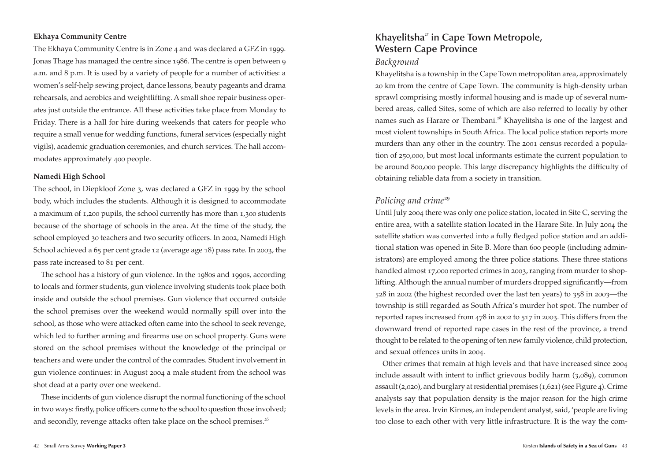#### **Ekhaya Community Centre**

The Ekhaya Community Centre is in Zone 4 and was declared a GFZ in 1999. Jonas Thage has managed the centre since 1986. The centre is open between 9 a.m. and 8 p.m. It is used by a variety of people for a number of activities: a women's self-help sewing project, dance lessons, beauty pageants and drama rehearsals, and aerobics and weightlifting. A small shoe repair business operates just outside the entrance. All these activities take place from Monday to Friday. There is a hall for hire during weekends that caters for people who require a small venue for wedding functions, funeral services (especially night vigils), academic graduation ceremonies, and church services. The hall accommodates approximately 400 people.

#### **Namedi High School**

The school, in Diepkloof Zone 3, was declared a GFZ in 1999 by the school body, which includes the students. Although it is designed to accommodate a maximum of 1,200 pupils, the school currently has more than 1,300 students because of the shortage of schools in the area. At the time of the study, the school employed 30 teachers and two security officers. In 2002, Namedi High School achieved a 65 per cent grade 12 (average age 18) pass rate. In 2003, the pass rate increased to 81 per cent.

The school has a history of gun violence. In the 1980s and 1990s, according to locals and former students, gun violence involving students took place both inside and outside the school premises. Gun violence that occurred outside the school premises over the weekend would normally spill over into the school, as those who were attacked often came into the school to seek revenge, which led to further arming and firearms use on school property. Guns were stored on the school premises without the knowledge of the principal or teachers and were under the control of the comrades*.* Student involvement in gun violence continues: in August 2004 a male student from the school was shot dead at a party over one weekend.

These incidents of gun violence disrupt the normal functioning of the school in two ways: firstly, police officers come to the school to question those involved; and secondly, revenge attacks often take place on the school premises.<sup>26</sup>

## **Khayelitsha27 in Cape Town Metropole, Western Cape Province**

### *Background*

Khayelitsha is a township in the Cape Town metropolitan area, approximately 20 km from the centre of Cape Town. The community is high-density urban sprawl comprising mostly informal housing and is made up of several numbered areas, called Sites, some of which are also referred to locally by other names such as Harare or Thembani.<sup>28</sup> Khayelitsha is one of the largest and most violent townships in South Africa. The local police station reports more murders than any other in the country. The 2001 census recorded a population of 250,000, but most local informants estimate the current population to be around 800,000 people. This large discrepancy highlights the difficulty of obtaining reliable data from a society in transition.

### *Policing and crime*<sup>29</sup>

Until July 2004 there was only one police station, located in Site C, serving the entire area, with a satellite station located in the Harare Site. In July 2004 the satellite station was converted into a fully fledged police station and an additional station was opened in Site B. More than 600 people (including administrators) are employed among the three police stations. These three stations handled almost 17,000 reported crimes in 2003, ranging from murder to shoplifting. Although the annual number of murders dropped significantly—from 528 in 2002 (the highest recorded over the last ten years) to 358 in 2003—the township is still regarded as South Africa's murder hot spot. The number of reported rapes increased from 478 in 2002 to 517 in 2003. This differs from the downward trend of reported rape cases in the rest of the province, a trend thought to be related to the opening of ten new family violence, child protection, and sexual offences units in 2004.

Other crimes that remain at high levels and that have increased since 2004 include assault with intent to inflict grievous bodily harm (3,089), common assault (2,020), and burglary at residential premises (1,621) (see Figure 4). Crime analysts say that population density is the major reason for the high crime levels in the area. Irvin Kinnes, an independent analyst, said, 'people are living too close to each other with very little infrastructure. It is the way the com-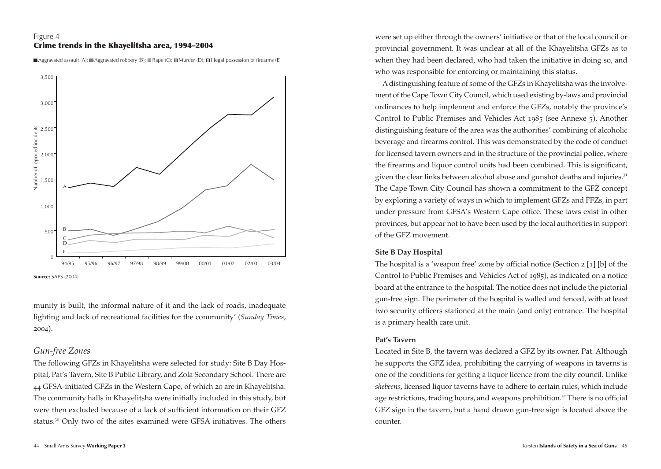### Figure 4 Crime trends in the Khayelitsha area, 1994–2004

Aggravated assault (A);  $\blacksquare$  Aggravated robbery (B);  $\blacksquare$  Rape (C);  $\blacksquare$  Murder (D);  $\blacksquare$  Illegal possession of firearms (E)



**Source:** SAPS (2004)

munity is built, the informal nature of it and the lack of roads, inadequate lighting and lack of recreational facilities for the community' (*Sunday Times*, 2004).

#### *Gun-free Zones*

The following GFZs in Khayelitsha were selected for study: Site B Day Hospital, Pat's Tavern, Site B Public Library, and Zola Secondary School. There are 44 GFSA-initiated GFZs in the Western Cape, of which 20 are in Khayelitsha. The community halls in Khayelitsha were initially included in this study, but were then excluded because of a lack of sufficient information on their GFZ status.<sup>30</sup> Only two of the sites examined were GFSA initiatives. The others were set up either through the owners' initiative or that of the local council or provincial government. It was unclear at all of the Khayelitsha GFZs as to when they had been declared, who had taken the initiative in doing so, and who was responsible for enforcing or maintaining this status.

A distinguishing feature of some of the GFZs in Khayelitsha was the involvement of the Cape Town City Council, which used existing by-laws and provincial ordinances to help implement and enforce the GFZs, notably the province's Control to Public Premises and Vehicles Act 1985 (see Annexe 5). Another distinguishing feature of the area was the authorities' combining of alcoholic beverage and firearms control. This was demonstrated by the code of conduct for licensed tavern owners and in the structure of the provincial police, where the firearms and liquor control units had been combined. This is significant, given the clear links between alcohol abuse and gunshot deaths and injuries.<sup>31</sup> The Cape Town City Council has shown a commitment to the GFZ concept by exploring a variety of ways in which to implement GFZs and FFZs, in part under pressure from GFSA's Western Cape office. These laws exist in other provinces, but appear not to have been used by the local authorities in support of the GFZ movement.

#### **Site B Day Hospital**

The hospital is a 'weapon free' zone by official notice (Section 2 [1] [b] of the Control to Public Premises and Vehicles Act of 1985), as indicated on a notice board at the entrance to the hospital. The notice does not include the pictorial gun-free sign. The perimeter of the hospital is walled and fenced, with at least two security officers stationed at the main (and only) entrance. The hospital is a primary health care unit.

#### **Pat's Tavern**

Located in Site B, the tavern was declared a GFZ by its owner, Pat. Although he supports the GFZ idea, prohibiting the carrying of weapons in taverns is one of the conditions for getting a liquor licence from the city council. Unlike *shebeens*, licensed liquor taverns have to adhere to certain rules, which include age restrictions, trading hours, and weapons prohibition.<sup>32</sup> There is no official GFZ sign in the tavern, but a hand drawn gun-free sign is located above the counter.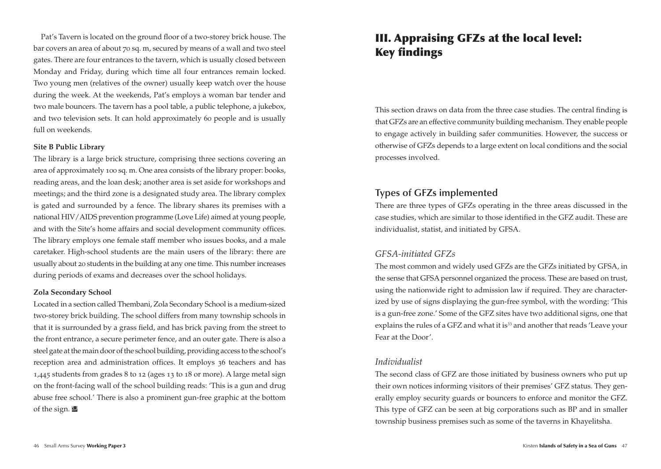Pat's Tavern is located on the ground floor of a two-storey brick house. The bar covers an area of about 70 sq. m, secured by means of a wall and two steel gates. There are four entrances to the tavern, which is usually closed between Monday and Friday, during which time all four entrances remain locked. Two young men (relatives of the owner) usually keep watch over the house during the week. At the weekends, Pat's employs a woman bar tender and two male bouncers. The tavern has a pool table, a public telephone, a jukebox, and two television sets. It can hold approximately 60 people and is usually full on weekends.

#### **Site B Public Library**

The library is a large brick structure, comprising three sections covering an area of approximately 100 sq. m. One area consists of the library proper: books, reading areas, and the loan desk; another area is set aside for workshops and meetings; and the third zone is a designated study area. The library complex is gated and surrounded by a fence. The library shares its premises with a national HIV/AIDS prevention programme (Love Life) aimed at young people, and with the Site's home affairs and social development community offices. The library employs one female staff member who issues books, and a male caretaker. High-school students are the main users of the library: there are usually about 20 students in the building at any one time. This number increases during periods of exams and decreases over the school holidays.

#### **Zola Secondary School**

Located in a section called Thembani, Zola Secondary School is a medium-sized two-storey brick building. The school differs from many township schools in that it is surrounded by a grass field, and has brick paving from the street to the front entrance, a secure perimeter fence, and an outer gate. There is also a steel gate at the main door of the school building, providing access to the school's reception area and administration offices. It employs 36 teachers and has 1,445 students from grades 8 to 12 (ages 13 to 18 or more). A large metal sign on the front-facing wall of the school building reads: 'This is a gun and drug abuse free school.' There is also a prominent gun-free graphic at the bottom of the sign.  $\blacksquare$ 

## III. Appraising GFZs at the local level: Key findings

This section draws on data from the three case studies. The central finding is that GFZs are an effective community building mechanism. They enable people to engage actively in building safer communities. However, the success or otherwise of GFZs depends to a large extent on local conditions and the social processes involved.

## **Types of GFZs implemented**

There are three types of GFZs operating in the three areas discussed in the case studies, which are similar to those identified in the GFZ audit. These are individualist, statist, and initiated by GFSA.

### *GFSA-initiated GFZs*

The most common and widely used GFZs are the GFZs initiated by GFSA, in the sense that GFSA personnel organized the process. These are based on trust, using the nationwide right to admission law if required. They are characterized by use of signs displaying the gun-free symbol, with the wording: 'This is a gun-free zone.' Some of the GFZ sites have two additional signs, one that explains the rules of a GFZ and what it is<sup>33</sup> and another that reads 'Leave your Fear at the Door'.

#### *Individualist*

The second class of GFZ are those initiated by business owners who put up their own notices informing visitors of their premises' GFZ status. They generally employ security guards or bouncers to enforce and monitor the GFZ. This type of GFZ can be seen at big corporations such as BP and in smaller township business premises such as some of the taverns in Khayelitsha.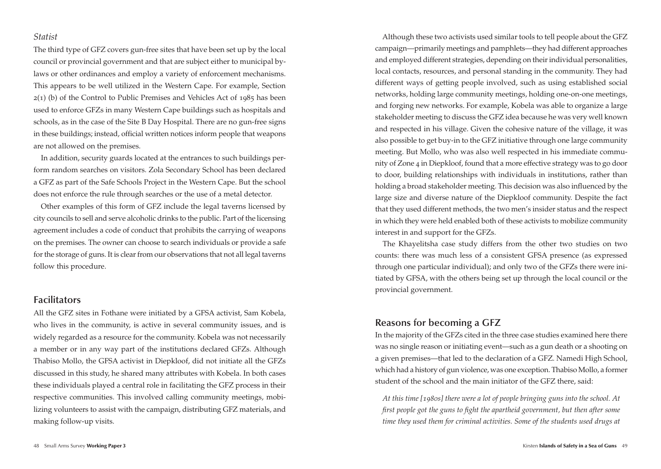### *Statist*

The third type of GFZ covers gun-free sites that have been set up by the local council or provincial government and that are subject either to municipal bylaws or other ordinances and employ a variety of enforcement mechanisms. This appears to be well utilized in the Western Cape. For example, Section 2(1) (b) of the Control to Public Premises and Vehicles Act of 1985 has been used to enforce GFZs in many Western Cape buildings such as hospitals and schools, as in the case of the Site B Day Hospital. There are no gun-free signs in these buildings; instead, official written notices inform people that weapons are not allowed on the premises.

In addition, security guards located at the entrances to such buildings perform random searches on visitors. Zola Secondary School has been declared a GFZ as part of the Safe Schools Project in the Western Cape. But the school does not enforce the rule through searches or the use of a metal detector.

Other examples of this form of GFZ include the legal taverns licensed by city councils to sell and serve alcoholic drinks to the public. Part of the licensing agreement includes a code of conduct that prohibits the carrying of weapons on the premises. The owner can choose to search individuals or provide a safe for the storage of guns. It is clear from our observations that not all legal taverns follow this procedure.

## **Facilitators**

All the GFZ sites in Fothane were initiated by a GFSA activist, Sam Kobela, who lives in the community, is active in several community issues, and is widely regarded as a resource for the community. Kobela was not necessarily a member or in any way part of the institutions declared GFZs. Although Thabiso Mollo, the GFSA activist in Diepkloof, did not initiate all the GFZs discussed in this study, he shared many attributes with Kobela. In both cases these individuals played a central role in facilitating the GFZ process in their respective communities. This involved calling community meetings, mobilizing volunteers to assist with the campaign, distributing GFZ materials, and making follow-up visits.

Although these two activists used similar tools to tell people about the GFZ campaign—primarily meetings and pamphlets—they had different approaches and employed different strategies, depending on their individual personalities, local contacts, resources, and personal standing in the community. They had different ways of getting people involved, such as using established social networks, holding large community meetings, holding one-on-one meetings, and forging new networks. For example, Kobela was able to organize a large stakeholder meeting to discuss the GFZ idea because he was very well known and respected in his village. Given the cohesive nature of the village, it was also possible to get buy-in to the GFZ initiative through one large community meeting. But Mollo, who was also well respected in his immediate community of Zone 4 in Diepkloof, found that a more effective strategy was to go door to door, building relationships with individuals in institutions, rather than holding a broad stakeholder meeting. This decision was also influenced by the large size and diverse nature of the Diepkloof community. Despite the fact that they used different methods, the two men's insider status and the respect in which they were held enabled both of these activists to mobilize community interest in and support for the GFZs.

The Khayelitsha case study differs from the other two studies on two counts: there was much less of a consistent GFSA presence (as expressed through one particular individual); and only two of the GFZs there were initiated by GFSA, with the others being set up through the local council or the provincial government.

## **Reasons for becoming a GFZ**

In the majority of the GFZs cited in the three case studies examined here there was no single reason or initiating event—such as a gun death or a shooting on a given premises—that led to the declaration of a GFZ. Namedi High School, which had a history of gun violence, was one exception. Thabiso Mollo, a former student of the school and the main initiator of the GFZ there, said:

*At this time [1980s] there were a lot of people bringing guns into the school. At first people got the guns to fight the apartheid government, but then after some time they used them for criminal activities. Some of the students used drugs at*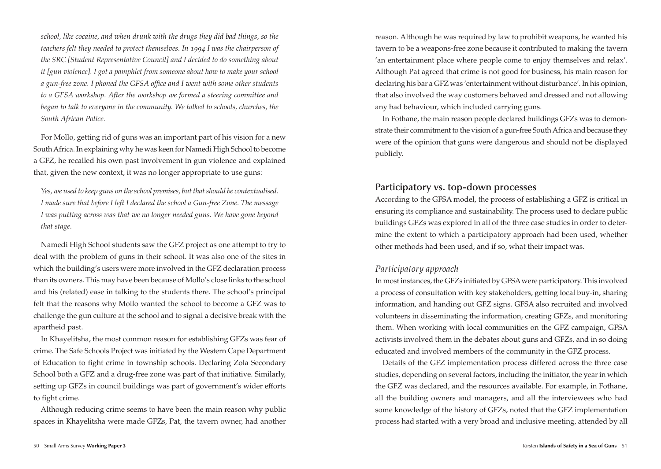*school, like cocaine, and when drunk with the drugs they did bad things, so the teachers felt they needed to protect themselves. In 1994 I was the chairperson of the SRC [Student Representative Council] and I decided to do something about it [gun violence]. I got a pamphlet from someone about how to make your school a gun-free zone. I phoned the GFSA office and I went with some other students to a GFSA workshop. After the workshop we formed a steering committee and began to talk to everyone in the community. We talked to schools, churches, the South African Police.*

For Mollo, getting rid of guns was an important part of his vision for a new South Africa. In explaining why he was keen for Namedi High School to become a GFZ, he recalled his own past involvement in gun violence and explained that, given the new context, it was no longer appropriate to use guns:

*Yes, we used to keep guns on the school premises, but that should be contextualised. I made sure that before I left I declared the school a Gun-free Zone. The message I was putting across was that we no longer needed guns. We have gone beyond that stage.* 

Namedi High School students saw the GFZ project as one attempt to try to deal with the problem of guns in their school. It was also one of the sites in which the building's users were more involved in the GFZ declaration process than its owners. This may have been because of Mollo's close links to the school and his (related) ease in talking to the students there. The school's principal felt that the reasons why Mollo wanted the school to become a GFZ was to challenge the gun culture at the school and to signal a decisive break with the apartheid past.

In Khayelitsha, the most common reason for establishing GFZs was fear of crime. The Safe Schools Project was initiated by the Western Cape Department of Education to fight crime in township schools. Declaring Zola Secondary School both a GFZ and a drug-free zone was part of that initiative. Similarly, setting up GFZs in council buildings was part of government's wider efforts to fight crime.

Although reducing crime seems to have been the main reason why public spaces in Khayelitsha were made GFZs, Pat, the tavern owner, had another reason. Although he was required by law to prohibit weapons, he wanted his tavern to be a weapons-free zone because it contributed to making the tavern 'an entertainment place where people come to enjoy themselves and relax'. Although Pat agreed that crime is not good for business, his main reason for declaring his bar a GFZ was 'entertainment without disturbance'. In his opinion, that also involved the way customers behaved and dressed and not allowing any bad behaviour, which included carrying guns.

In Fothane, the main reason people declared buildings GFZs was to demonstrate their commitment to the vision of a gun-free South Africa and because they were of the opinion that guns were dangerous and should not be displayed publicly.

## **Participatory vs. top-down processes**

According to the GFSA model, the process of establishing a GFZ is critical in ensuring its compliance and sustainability. The process used to declare public buildings GFZs was explored in all of the three case studies in order to determine the extent to which a participatory approach had been used, whether other methods had been used, and if so, what their impact was.

#### *Participatory approach*

In most instances, the GFZs initiated by GFSA were participatory. This involved a process of consultation with key stakeholders, getting local buy-in, sharing information, and handing out GFZ signs. GFSA also recruited and involved volunteers in disseminating the information, creating GFZs, and monitoring them. When working with local communities on the GFZ campaign, GFSA activists involved them in the debates about guns and GFZs, and in so doing educated and involved members of the community in the GFZ process.

Details of the GFZ implementation process differed across the three case studies, depending on several factors, including the initiator, the year in which the GFZ was declared, and the resources available. For example, in Fothane, all the building owners and managers, and all the interviewees who had some knowledge of the history of GFZs, noted that the GFZ implementation process had started with a very broad and inclusive meeting, attended by all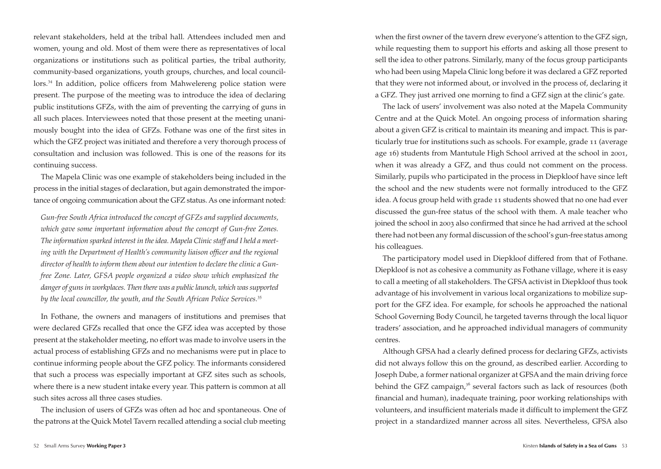relevant stakeholders, held at the tribal hall. Attendees included men and women, young and old. Most of them were there as representatives of local organizations or institutions such as political parties, the tribal authority, community-based organizations, youth groups, churches, and local councillors.<sup>34</sup> In addition, police officers from Mahwelereng police station were present. The purpose of the meeting was to introduce the idea of declaring public institutions GFZs, with the aim of preventing the carrying of guns in all such places. Interviewees noted that those present at the meeting unanimously bought into the idea of GFZs. Fothane was one of the first sites in which the GFZ project was initiated and therefore a very thorough process of consultation and inclusion was followed. This is one of the reasons for its continuing success.

The Mapela Clinic was one example of stakeholders being included in the process in the initial stages of declaration, but again demonstrated the importance of ongoing communication about the GFZ status. As one informant noted:

*Gun-free South Africa introduced the concept of GFZs and supplied documents, which gave some important information about the concept of Gun-free Zones. Theinformation sparked interest in theidea. Mapela Clinic staff and I held a meet ing with the Department of Health's community liaison officer and the regional director of health to inform them about our intention to declare the clinic a Gunfree Zone. Later, GFSA people organized a video show which emphasized the danger of gunsin workplaces. Then there was a public launch, which wassupported by the local councillor, the youth, and the South African Police Services.* 35

In Fothane, the owners and managers of institutions and premises that were declared GFZs recalled that once the GFZ idea was accepted by those present at the stakeholder meeting, no effort was made to involve users in the actual process of establishing GFZs and no mechanisms were put in place to continue informing people about the GFZ policy. The informants considered that such a process was especially important at GFZ sites such as schools, where there is a new student intake every year. This pattern is common at all such sites across all three cases studies.

The inclusion of users of GFZs was often ad hoc and spontaneous. One of the patrons at the Quick Motel Tavern recalled attending a social club meeting when the first owner of the tavern drew everyone's attention to the GFZ sign, while requesting them to support his efforts and asking all those present to sell the idea to other patrons. Similarly, many of the focus group participants who had been using Mapela Clinic long before it was declared a GFZ reported that they were not informed about, or involved in the process of, declaring it a GFZ. They just arrived one morning to find a GFZ sign at the clinic's gate.

The lack of users' involvement was also noted at the Mapela Community Centre and at the Quick Motel. An ongoing process of information sharing about a given GFZ is critical to maintain its meaning and impact. This is particularly true for institutions such as schools. For example, grade 11 (average age 16) students from Mantutule High School arrived at the school in 2001, when it was already a GFZ, and thus could not comment on the process. Similarly, pupils who participated in the process in Diepkloof have since left the school and the new students were not formally introduced to the GFZ idea. A focus group held with grade 11 students showed that no one had ever discussed the gun-free status of the school with them. A male teacher who joined the school in 2003 also confirmed that since he had arrived at the school there had not been any formal discussion of the school's gun-free status among his colleagues.

The participatory model used in Diepkloof differed from that of Fothane. Diepkloof is not as cohesive a community as Fothane village, where it is easy to call a meeting of all stakeholders. The GFSA activist in Diepkloof thus took advantage of his involvement in various local organizations to mobilize support for the GFZ idea. For example, for schools he approached the national School Governing Body Council, he targeted taverns through the local liquor traders' association, and he approached individual managers of community centres.

Although GFSA had a clearly defined process for declaring GFZs, activists did not always follow this on the ground, as described earlier. According to Joseph Dube, a former national organizer at GFSA and the main driving force behind the GFZ campaign,<sup>36</sup> several factors such as lack of resources (both financial and human), inadequate training, poor working relationships with volunteers, and insufficient materials made it difficult to implement the GFZ project in a standardized manner across all sites. Nevertheless, GFSA also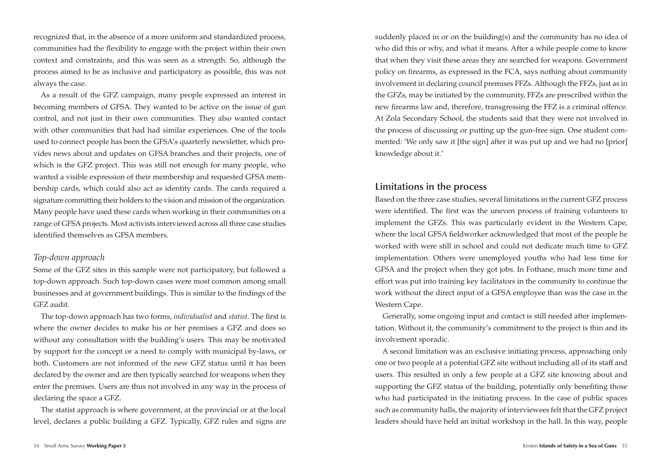recognized that, in the absence of a more uniform and standardized process, communities had the flexibility to engage with the project within their own context and constraints, and this was seen as a strength. So, although the process aimed to be as inclusive and participatory as possible, this was not always the case.

As a result of the GFZ campaign, many people expressed an interest in becoming members of GFSA. They wanted to be active on the issue of gun control, and not just in their own communities. They also wanted contact with other communities that had had similar experiences. One of the tools used to connect people has been the GFSA's quarterly newsletter, which provides news about and updates on GFSA branches and their projects, one of which is the GFZ project. This was still not enough for many people, who wanted a visible expression of their membership and requested GFSA membership cards, which could also act as identity cards. The cards required a signature committing their holders to the vision and mission of the organization. Many people have used these cards when working in their communities on a range of GFSA projects. Most activists interviewed across all three case studies identified themselves as GFSA members.

### *Top-down approach*

Some of the GFZ sites in this sample were not participatory, but followed a top-down approach. Such top-down cases were most common among small businesses and at government buildings. This is similar to the findings of the GFZ audit.

The top-down approach has two forms, *individualist* and *statist*. The first is where the owner decides to make his or her premises a GFZ and does so without any consultation with the building's users. This may be motivated by support for the concept or a need to comply with municipal by-laws, or both. Customers are not informed of the new GFZ status until it has been declared by the owner and are then typically searched for weapons when they enter the premises. Users are thus not involved in any way in the process of declaring the space a GFZ.

The statist approach is where government, at the provincial or at the local level, declares a public building a GFZ. Typically, GFZ rules and signs are

suddenly placed in or on the building(s) and the community has no idea of who did this or why, and what it means. After a while people come to know that when they visit these areas they are searched for weapons. Government policy on firearms, as expressed in the FCA, says nothing about community involvement in declaring council premises FFZs. Although the FFZs, just as in the GFZs, may be initiated by the community, FFZs are prescribed within the new firearms law and, therefore, transgressing the FFZ is a criminal offence. At Zola Secondary School, the students said that they were not involved in the process of discussing or putting up the gun-free sign. One student commented: 'We only saw it [the sign] after it was put up and we had no [prior] knowledge about it.'

## **Limitations in the process**

Based on the three case studies, several limitations in the current GFZ process were identified. The first was the uneven process of training volunteers to implement the GFZs. This was particularly evident in the Western Cape, where the local GFSA fieldworker acknowledged that most of the people he worked with were still in school and could not dedicate much time to GFZ implementation. Others were unemployed youths who had less time for GFSA and the project when they got jobs. In Fothane, much more time and effort was put into training key facilitators in the community to continue the work without the direct input of a GFSA employee than was the case in the Western Cape.

Generally, some ongoing input and contact is still needed after implementation. Without it, the community's commitment to the project is thin and its involvement sporadic.

A second limitation was an exclusive initiating process, approaching only one or two people at a potential GFZ site without including all of its staff and users. This resulted in only a few people at a GFZ site knowing about and supporting the GFZ status of the building, potentially only benefiting those who had participated in the initiating process. In the case of public spaces such as community halls, the majority of interviewees felt that the GFZ project leaders should have held an initial workshop in the hall. In this way, people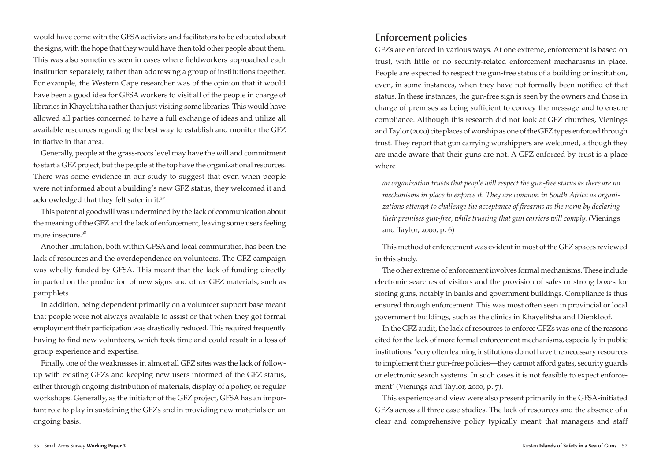would have come with the GFSA activists and facilitators to be educated about the signs, with the hope that they would have then told other people about them. This was also sometimes seen in cases where fieldworkers approached each institution separately, rather than addressing a group of institutions together. For example, the Western Cape researcher was of the opinion that it would have been a good idea for GFSA workers to visit all of the people in charge of libraries in Khayelitsha rather than just visiting some libraries. This would have allowed all parties concerned to have a full exchange of ideas and utilize all available resources regarding the best way to establish and monitor the GFZ initiative in that area.

Generally, people at the grass-roots level may have the will and commitment to start a GFZ project, but the people at the top have the organizational resources. There was some evidence in our study to suggest that even when people were not informed about a building's new GFZ status, they welcomed it and acknowledged that they felt safer in it.<sup>37</sup>

This potential goodwill was undermined by the lack of communication about the meaning of the GFZ and the lack of enforcement, leaving some users feeling more insecure.<sup>38</sup>

Another limitation, both within GFSA and local communities, has been the lack of resources and the overdependence on volunteers. The GFZ campaign was wholly funded by GFSA. This meant that the lack of funding directly impacted on the production of new signs and other GFZ materials, such as pamphlets.

In addition, being dependent primarily on a volunteer support base meant that people were not always available to assist or that when they got formal employment their participation was drastically reduced. This required frequently having to find new volunteers, which took time and could result in a loss of group experience and expertise.

Finally, one of the weaknesses in almost all GFZ sites was the lack of followup with existing GFZs and keeping new users informed of the GFZ status, either through ongoing distribution of materials, display of a policy, or regular workshops. Generally, as the initiator of the GFZ project, GFSA has an important role to play in sustaining the GFZs and in providing new materials on an ongoing basis.

## **Enforcement policies**

GFZs are enforced in various ways. At one extreme, enforcement is based on trust, with little or no security-related enforcement mechanisms in place. People are expected to respect the gun-free status of a building or institution, even, in some instances, when they have not formally been notified of that status. In these instances, the gun-free sign is seen by the owners and those in charge of premises as being sufficient to convey the message and to ensure compliance. Although this research did not look at GFZ churches, Vienings and Taylor (2000) cite places of worship as one of the GFZ types enforced through trust. They report that gun carrying worshippers are welcomed, although they are made aware that their guns are not. A GFZ enforced by trust is a place where

*an organization trusts that people will respect the gun-free status as there are no mechanisms in place to enforce it. They are common in South Africa as organizations attempt to challenge the acceptance of firearms as the norm by declaring their premises gun-free, while trusting that gun carriers will comply.* (Vienings and Taylor, 2000, p. 6)

This method of enforcement was evident in most of the GFZ spaces reviewed in this study.

The other extreme of enforcement involves formal mechanisms. These include electronic searches of visitors and the provision of safes or strong boxes for storing guns, notably in banks and government buildings. Compliance is thus ensured through enforcement. This was most often seen in provincial or local government buildings, such as the clinics in Khayelitsha and Diepkloof.

In the GFZ audit, the lack of resources to enforce GFZs was one of the reasons cited for the lack of more formal enforcement mechanisms, especially in public institutions: 'very often learning institutions do not have the necessary resources to implement their gun-free policies—they cannot afford gates, security guards or electronic search systems. In such cases it is not feasible to expect enforcement' (Vienings and Taylor, 2000, p. 7).

This experience and view were also present primarily in the GFSA-initiated GFZs across all three case studies. The lack of resources and the absence of a clear and comprehensive policy typically meant that managers and staff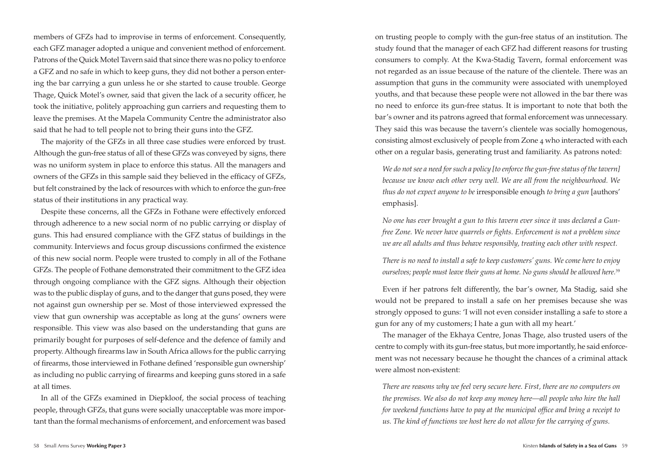members of GFZs had to improvise in terms of enforcement. Consequently, each GFZ manager adopted a unique and convenient method of enforcement. Patrons of the Quick Motel Tavern said that since there was no policy to enforce a GFZ and no safe in which to keep guns, they did not bother a person entering the bar carrying a gun unless he or she started to cause trouble. George Thage, Quick Motel's owner, said that given the lack of a security officer, he took the initiative, politely approaching gun carriers and requesting them to leave the premises. At the Mapela Community Centre the administrator also said that he had to tell people not to bring their guns into the GFZ.

The majority of the GFZs in all three case studies were enforced by trust. Although the gun-free status of all of these GFZs was conveyed by signs, there was no uniform system in place to enforce this status. All the managers and owners of the GFZs in this sample said they believed in the efficacy of GFZs, but felt constrained by the lack of resources with which to enforce the gun-free status of their institutions in any practical way.

Despite these concerns, all the GFZs in Fothane were effectively enforced through adherence to a new social norm of no public carrying or display of guns. This had ensured compliance with the GFZ status of buildings in the community. Interviews and focus group discussions confirmed the existence of this new social norm. People were trusted to comply in all of the Fothane GFZs. The people of Fothane demonstrated their commitment to the GFZ idea through ongoing compliance with the GFZ signs. Although their objection was to the public display of guns, and to the danger that guns posed, they were not against gun ownership per se. Most of those interviewed expressed the view that gun ownership was acceptable as long at the guns' owners were responsible. This view was also based on the understanding that guns are primarily bought for purposes of self-defence and the defence of family and property. Although firearms law in South Africa allows for the public carrying of firearms, those interviewed in Fothane defined 'responsible gun ownership' as including no public carrying of firearms and keeping guns stored in a safe at all times.

In all of the GFZs examined in Diepkloof, the social process of teaching people, through GFZs, that guns were socially unacceptable was more important than the formal mechanisms of enforcement, and enforcement was based

on trusting people to comply with the gun-free status of an institution. The study found that the manager of each GFZ had different reasons for trusting consumers to comply. At the Kwa-Stadig Tavern, formal enforcement was not regarded as an issue because of the nature of the clientele. There was an assumption that guns in the community were associated with unemployed youths, and that because these people were not allowed in the bar there was no need to enforce its gun-free status. It is important to note that both the bar's owner and its patrons agreed that formal enforcement was unnecessary. They said this was because the tavern's clientele was socially homogenous, consisting almost exclusively of people from Zone 4 who interacted with each other on a regular basis, generating trust and familiarity. As patrons noted:

*We do not see a need for such a policy [to enforce the gun-free status of the tavern] because we know each other very well. We are all from the neighbourhood. We thus do not expect anyone to be* irresponsible enough *to bring a gun* [authors' emphasis].

*No one has ever brought a gun to this tavern ever since it was declared a Gunfree Zone. We never have quarrels or fights. Enforcement is not a problem since we are all adults and thus behave responsibly, treating each other with respect.*

*There is no need to install a safe to keep customers' guns. We come here to enjoy ourselves; people must leave their guns at home. No guns should be allowed here.* 39

Even if her patrons felt differently, the bar's owner, Ma Stadig, said she would not be prepared to install a safe on her premises because she was strongly opposed to guns: 'I will not even consider installing a safe to store a gun for any of my customers; I hate a gun with all my heart.'

The manager of the Ekhaya Centre, Jonas Thage, also trusted users of the centre to comply with its gun-free status, but more importantly, he said enforcement was not necessary because he thought the chances of a criminal attack were almost non-existent:

*There are reasons why we feel very secure here. First, there are no computers on the premises. We also do not keep any money here—all people who hire the hall for weekend functions have to pay at the municipal office and bring a receipt to us. The kind of functions we host here do not allow for the carrying of guns.*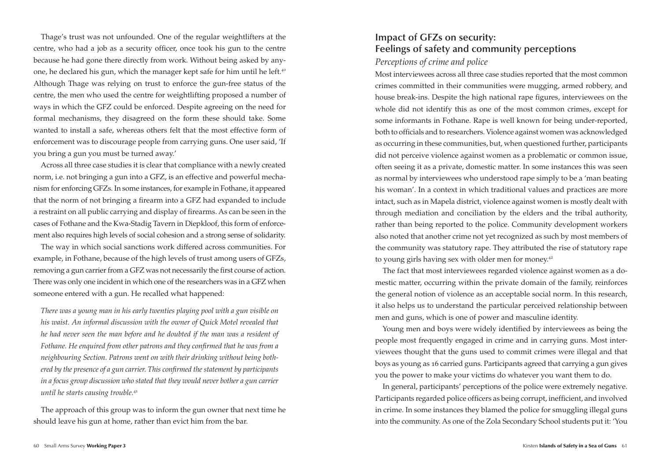Thage's trust was not unfounded. One of the regular weightlifters at the centre, who had a job as a security officer, once took his gun to the centre because he had gone there directly from work. Without being asked by anyone, he declared his gun, which the manager kept safe for him until he left.<sup>40</sup> Although Thage was relying on trust to enforce the gun-free status of the centre, the men who used the centre for weightlifting proposed a number of ways in which the GFZ could be enforced. Despite agreeing on the need for formal mechanisms, they disagreed on the form these should take. Some wanted to install a safe, whereas others felt that the most effective form of enforcement was to discourage people from carrying guns. One user said, 'If you bring a gun you must be turned away.'

Across all three case studies it is clear that compliance with a newly created norm, i.e. not bringing a gun into a GFZ, is an effective and powerful mechanism for enforcing GFZs. In some instances, for example in Fothane, it appeared that the norm of not bringing a firearm into a GFZ had expanded to include a restraint on all public carrying and display of firearms. As can be seen in the cases of Fothane and the Kwa-Stadig Tavern in Diepkloof, this form of enforcement also requires high levels of social cohesion and a strong sense of solidarity.

The way in which social sanctions work differed across communities. For example, in Fothane, because of the high levels of trust among users of GFZs, removing a gun carrier from a GFZ was not necessarily the first course of action. There was only one incident in which one of the researchers was in a GFZ when someone entered with a gun. He recalled what happened:

*There was a young man in his early twenties playing pool with a gun visible on his waist. An informal discussion with the owner of Quick Motel revealed that he had never seen the man before and he doubted if the man was a resident of Fothane. He enquired from other patrons and they confirmed that he was from a neighbouring Section. Patrons went on with their drinking without being both ered by the presence of a gun carrier. This confirmed the statement by participants in a focus group discussion who stated that they would never bother a gun carrier until he starts causing trouble.* 41

The approach of this group was to inform the gun owner that next time he should leave his gun at home, rather than evict him from the bar.

## **Impact of GFZs on security: Feelings of safety and community perceptions**

## *Perceptions of crime and police*

Most interviewees across all three case studies reported that the most common crimes committed in their communities were mugging, armed robbery, and house break-ins. Despite the high national rape figures, interviewees on the whole did not identify this as one of the most common crimes, except for some informants in Fothane. Rape is well known for being under-reported, both to officials and to researchers. Violence against women was acknowledged as occurring in these communities, but, when questioned further, participants did not perceive violence against women as a problematic or common issue, often seeing it as a private, domestic matter. In some instances this was seen as normal by interviewees who understood rape simply to be a 'man beating his woman'. In a context in which traditional values and practices are more intact, such as in Mapela district, violence against women is mostly dealt with through mediation and conciliation by the elders and the tribal authority, rather than being reported to the police. Community development workers also noted that another crime not yet recognized as such by most members of the community was statutory rape. They attributed the rise of statutory rape to young girls having sex with older men for money.<sup>42</sup>

The fact that most interviewees regarded violence against women as a domestic matter, occurring within the private domain of the family, reinforces the general notion of violence as an acceptable social norm. In this research, it also helps us to understand the particular perceived relationship between men and guns, which is one of power and masculine identity.

Young men and boys were widely identified by interviewees as being the people most frequently engaged in crime and in carrying guns. Most interviewees thought that the guns used to commit crimes were illegal and that boys as young as 16 carried guns. Participants agreed that carrying a gun gives you the power to make your victims do whatever you want them to do.

In general, participants' perceptions of the police were extremely negative. Participants regarded police officers as being corrupt, inefficient, and involved in crime. In some instances they blamed the police for smuggling illegal guns into the community. As one of the Zola Secondary School students put it: 'You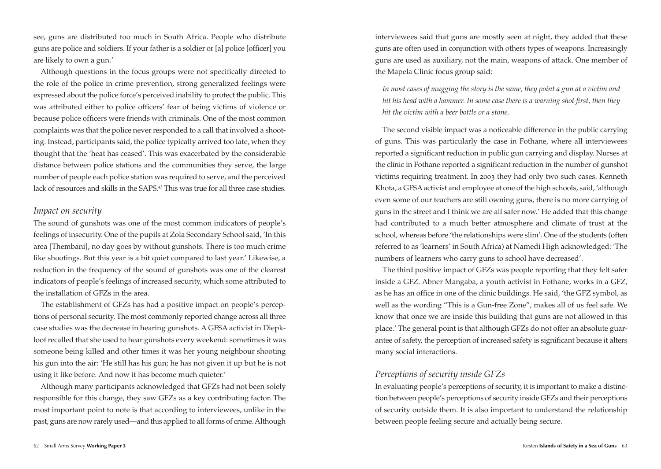see, guns are distributed too much in South Africa. People who distribute guns are police and soldiers. If your father is a soldier or [a] police [officer] you are likely to own a gun.'

Although questions in the focus groups were not specifically directed to the role of the police in crime prevention, strong generalized feelings were expressed about the police force's perceived inability to protect the public. This was attributed either to police officers' fear of being victims of violence or because police officers were friends with criminals. One of the most common complaints was that the police never responded to a call that involved a shooting. Instead, participants said, the police typically arrived too late, when they thought that the 'heat has ceased'. This was exacerbated by the considerable distance between police stations and the communities they serve, the large number of people each police station was required to serve, and the perceived lack of resources and skills in the SAPS.<sup>43</sup> This was true for all three case studies.

#### *Impact on security*

The sound of gunshots was one of the most common indicators of people's feelings of insecurity. One of the pupils at Zola Secondary School said, 'In this area [Thembani], no day goes by without gunshots. There is too much crime like shootings. But this year is a bit quiet compared to last year.' Likewise, a reduction in the frequency of the sound of gunshots was one of the clearest indicators of people's feelings of increased security, which some attributed to the installation of GFZs in the area.

The establishment of GFZs has had a positive impact on people's perceptions of personal security. The most commonly reported change across all three case studies was the decrease in hearing gunshots. A GFSA activist in Diepkloof recalled that she used to hear gunshots every weekend: sometimes it was someone being killed and other times it was her young neighbour shooting his gun into the air: 'He still has his gun; he has not given it up but he is not using it like before. And now it has become much quieter.'

Although many participants acknowledged that GFZs had not been solely responsible for this change, they saw GFZs as a key contributing factor. The most important point to note is that according to interviewees, unlike in the past, guns are now rarely used—and this applied to all forms of crime. Although interviewees said that guns are mostly seen at night, they added that these guns are often used in conjunction with others types of weapons. Increasingly guns are used as auxiliary, not the main, weapons of attack. One member of the Mapela Clinic focus group said:

*In most cases of mugging the story is the same, they point a gun at a victim and hit his head with a hammer. In some case there is a warning shot first, then they hit the victim with a beer bottle or a stone.* 

The second visible impact was a noticeable difference in the public carrying of guns. This was particularly the case in Fothane, where all interviewees reported a significant reduction in public gun carrying and display. Nurses at the clinic in Fothane reported a significant reduction in the number of gunshot victims requiring treatment. In 2003 they had only two such cases. Kenneth Khota, a GFSA activist and employee at one of the high schools, said, 'although even some of our teachers are still owning guns, there is no more carrying of guns in the street and I think we are all safer now.' He added that this change had contributed to a much better atmosphere and climate of trust at the school, whereas before 'the relationships were slim'. One of the students (often referred to as 'learners' in South Africa) at Namedi High acknowledged: 'The numbers of learners who carry guns to school have decreased'.

The third positive impact of GFZs was people reporting that they felt safer inside a GFZ. Abner Mangaba, a youth activist in Fothane, works in a GFZ, as he has an office in one of the clinic buildings. He said, 'the GFZ symbol, as well as the wording "This is a Gun-free Zone", makes all of us feel safe. We know that once we are inside this building that guns are not allowed in this place.' The general point is that although GFZs do not offer an absolute guarantee of safety, the perception of increased safety is significant because it alters many social interactions.

### *Perceptions of security inside GFZs*

In evaluating people's perceptions of security, it is important to make a distinction between people's perceptions of security inside GFZs and their perceptions of security outside them. It is also important to understand the relationship between people feeling secure and actually being secure.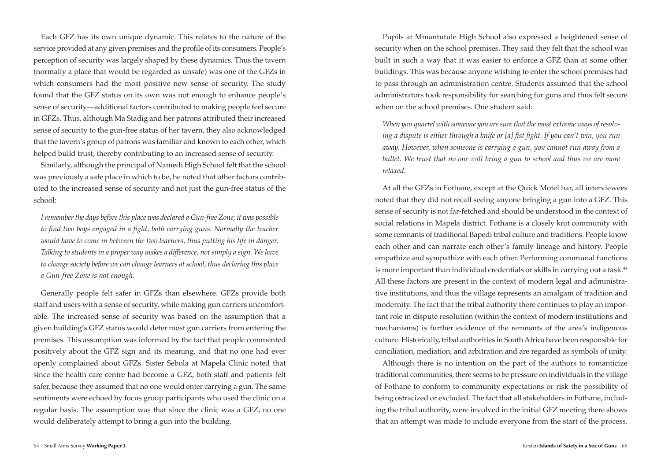Each GFZ has its own unique dynamic. This relates to the nature of the service provided at any given premises and the profile of its consumers. People's perception of security was largely shaped by these dynamics. Thus the tavern (normally a place that would be regarded as unsafe) was one of the GFZs in which consumers had the most positive new sense of security. The study found that the GFZ status on its own was not enough to enhance people's sense of security—additional factors contributed to making people feel secure in GFZs. Thus, although Ma Stadig and her patrons attributed their increased sense of security to the gun-free status of her tavern, they also acknowledged that the tavern's group of patrons was familiar and known to each other, which helped build trust, thereby contributing to an increased sense of security.

Similarly, although the principal of Namedi High School felt that the school was previously a safe place in which to be, he noted that other factors contributed to the increased sense of security and not just the gun-free status of the school:

*I remember the days before this place was declared a Gun-free Zone; it was possible to find two boys engaged in a fight, both carrying guns. Normally the teacher would have to come in between the two learners, thus putting his life in danger.*  Talking to students in a proper way makes a difference, not simply a sign. We have *to change society before we can change learners at school, thus declaring this place a Gun-free Zone is not enough.*

Generally people felt safer in GFZs than elsewhere. GFZs provide both staff and users with a sense of security, while making gun carriers uncomfortable. The increased sense of security was based on the assumption that a given building's GFZ status would deter most gun carriers from entering the premises. This assumption was informed by the fact that people commented positively about the GFZ sign and its meaning, and that no one had ever openly complained about GFZs. Sister Sebola at Mapela Clinic noted that since the health care centre had become a GFZ, both staff and patients felt safer, because they assumed that no one would enter carrying a gun. The same sentiments were echoed by focus group participants who used the clinic on a regular basis. The assumption was that since the clinic was a GFZ, no one would deliberately attempt to bring a gun into the building.

Pupils at Mmantutule High School also expressed a heightened sense of security when on the school premises. They said they felt that the school was built in such a way that it was easier to enforce a GFZ than at some other buildings. This was because anyone wishing to enter the school premises had to pass through an administration centre. Students assumed that the school administrators took responsibility for searching for guns and thus felt secure when on the school premises. One student said:

*When you quarrel with someone you aresurethat the mostextreme ways of resolv ing a dispute is either through a knife or [a] fist fight. If you can't win, you run away. However, when someone is carrying a gun, you cannot run away from a bullet. We trust that no one will bring a gun to school and thus we are more relaxed.*

At all the GFZs in Fothane, except at the Quick Motel bar, all interviewees noted that they did not recall seeing anyone bringing a gun into a GFZ. This sense of security is not far-fetched and should be understood in the context of social relations in Mapela district. Fothane is a closely knit community with some remnants of traditional Bapedi tribal culture and traditions. People know each other and can narrate each other's family lineage and history. People empathize and sympathize with each other. Performing communal functions is more important than individual credentials or skills in carrying out a task.<sup>44</sup> All these factors are present in the context of modern legal and administrative institutions, and thus the village represents an amalgam of tradition and modernity. The fact that the tribal authority there continues to play an important role in dispute resolution (within the context of modern institutions and mechanisms) is further evidence of the remnants of the area's indigenous culture. Historically, tribal authorities in South Africa have been responsible for conciliation, mediation, and arbitration and are regarded as symbols of unity.

Although there is no intention on the part of the authors to romanticize traditional communities, there seems to be pressure on individuals in the village of Fothane to conform to community expectations or risk the possibility of being ostracized or excluded. The fact that all stakeholders in Fothane, including the tribal authority, were involved in the initial GFZ meeting there shows that an attempt was made to include everyone from the start of the process.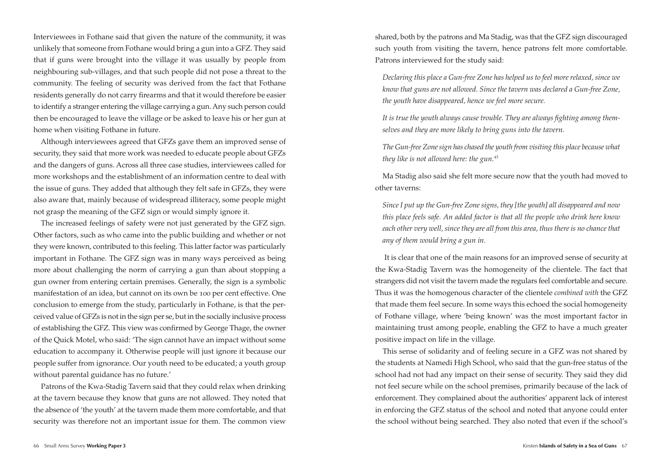Interviewees in Fothane said that given the nature of the community, it was unlikely that someone from Fothane would bring a gun into a GFZ. They said that if guns were brought into the village it was usually by people from neighbouring sub-villages, and that such people did not pose a threat to the community. The feeling of security was derived from the fact that Fothane residents generally do not carry firearms and that it would therefore be easier to identify a stranger entering the village carrying a gun. Any such person could then be encouraged to leave the village or be asked to leave his or her gun at home when visiting Fothane in future.

Although interviewees agreed that GFZs gave them an improved sense of security, they said that more work was needed to educate people about GFZs and the dangers of guns. Across all three case studies, interviewees called for more workshops and the establishment of an information centre to deal with the issue of guns. They added that although they felt safe in GFZs, they were also aware that, mainly because of widespread illiteracy, some people might not grasp the meaning of the GFZ sign or would simply ignore it.

The increased feelings of safety were not just generated by the GFZ sign. Other factors, such as who came into the public building and whether or not they were known, contributed to this feeling. This latter factor was particularly important in Fothane. The GFZ sign was in many ways perceived as being more about challenging the norm of carrying a gun than about stopping a gun owner from entering certain premises. Generally, the sign is a symbolic manifestation of an idea, but cannot on its own be 100 per cent effective. One conclusion to emerge from the study, particularly in Fothane, is that the perceived value of GFZs is not in the sign per se, but in the socially inclusive process of establishing the GFZ. This view was confirmed by George Thage, the owner of the Quick Motel, who said: 'The sign cannot have an impact without some education to accompany it. Otherwise people will just ignore it because our people suffer from ignorance. Our youth need to be educated; a youth group without parental guidance has no future.'

Patrons of the Kwa-Stadig Tavern said that they could relax when drinking at the tavern because they know that guns are not allowed. They noted that the absence of 'the youth' at the tavern made them more comfortable, and that security was therefore not an important issue for them. The common view shared, both by the patrons and Ma Stadig, was that the GFZ sign discouraged such youth from visiting the tavern, hence patrons felt more comfortable. Patrons interviewed for the study said:

*Declaring this place a Gun-free Zone has helped us to feel more relaxed, since we know that guns are not allowed. Since the tavern was declared a Gun-free Zone, the youth have disappeared, hence we feel more secure.* 

*It is true the youth always cause trouble. They are always fighting among them selves and they are more likely to bring guns into the tavern.*

*The Gun-free Zonesign has chased the youth from visiting this place because what they like is not allowed here: the gun.* 45

Ma Stadig also said she felt more secure now that the youth had moved to other taverns:

*Since I put up the Gun-free Zone signs, they [the youth] all disappeared and now this place feels safe. An added factor is that all the people who drink here know each other very well, since they are all from this area, thus there is no chance that any of them would bring a gun in.*

It is clear that one of the main reasons for an improved sense of security at the Kwa-Stadig Tavern was the homogeneity of the clientele. The fact that strangers did not visit the tavern made the regulars feel comfortable and secure. Thus it was the homogenous character of the clientele *combined with* the GFZ that made them feel secure. In some ways this echoed the social homogeneity of Fothane village, where 'being known' was the most important factor in maintaining trust among people, enabling the GFZ to have a much greater positive impact on life in the village.

This sense of solidarity and of feeling secure in a GFZ was not shared by the students at Namedi High School, who said that the gun-free status of the school had not had any impact on their sense of security. They said they did not feel secure while on the school premises, primarily because of the lack of enforcement. They complained about the authorities' apparent lack of interest in enforcing the GFZ status of the school and noted that anyone could enter the school without being searched. They also noted that even if the school's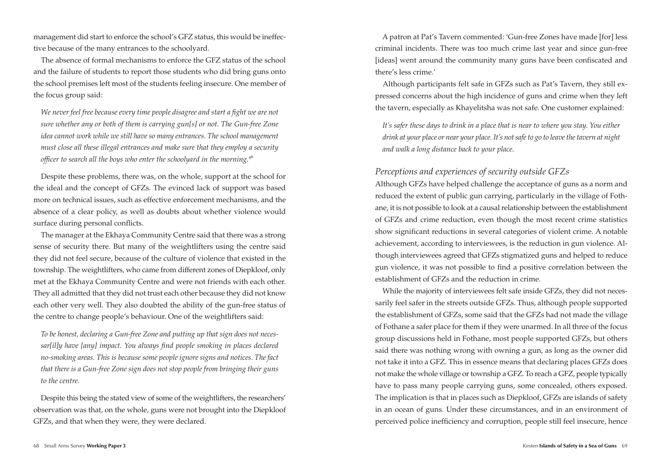management did start to enforce the school's GFZ status, this would be ineffective because of the many entrances to the schoolyard.

The absence of formal mechanisms to enforce the GFZ status of the school and the failure of students to report those students who did bring guns onto the school premises left most of the students feeling insecure. One member of the focus group said:

*We never feel free because every time people disagree and start a fight we are not sure whether any or both of them is carrying gun[s] or not. The Gun-free Zone idea cannot work while we still have so many entrances. The school management must close all these illegal entrances and make sure that they employ a security officer to search all the boys who enter the schoolyard in the morning.*<sup>46</sup>

Despite these problems, there was, on the whole, support at the school for the ideal and the concept of GFZs. The evinced lack of support was based more on technical issues, such as effective enforcement mechanisms, and the absence of a clear policy, as well as doubts about whether violence would surface during personal conflicts.

The manager at the Ekhaya Community Centre said that there was a strong sense of security there. But many of the weightlifters using the centre said they did not feel secure, because of the culture of violence that existed in the township. The weightlifters, who came from different zones of Diepkloof, only met at the Ekhaya Community Centre and were not friends with each other. They all admitted that they did not trust each other because they did not know each other very well. They also doubted the ability of the gun-free status of the centre to change people's behaviour. One of the weightlifters said:

*To be honest, declaring a Gun-free Zone and putting up that sign does not necessar[il]y have [any] impact. You always find people smoking in places declared no-smoking areas. This is because some people ignore signs and notices. The fact that there is a Gun-free Zone sign does not stop people from bringing their guns to the centre.*

Despite this being the stated view of some of the weightlifters, the researchers' observation was that, on the whole, guns were not brought into the Diepkloof GFZs, and that when they were, they were declared.

A patron at Pat's Tavern commented: 'Gun-free Zones have made [for] less criminal incidents. There was too much crime last year and since gun-free [ideas] went around the community many guns have been confiscated and there's less crime.'

Although participants felt safe in GFZs such as Pat's Tavern, they still expressed concerns about the high incidence of guns and crime when they left the tavern, especially as Khayelitsha was not safe. One customer explained:

*It's safer these days to drink in a place that is near to where you stay. You either drink at your place or near your place. It's notsafeto go to leavethetavern at night and walk a long distance back to your place.*

### *Perceptions and experiences of security outside GFZs*

Although GFZs have helped challenge the acceptance of guns as a norm and reduced the extent of public gun carrying, particularly in the village of Fothane, it is not possible to look at a causal relationship between the establishment of GFZs and crime reduction, even though the most recent crime statistics show significant reductions in several categories of violent crime. A notable achievement, according to interviewees, is the reduction in gun violence. Although interviewees agreed that GFZs stigmatized guns and helped to reduce gun violence, it was not possible to find a positive correlation between the establishment of GFZs and the reduction in crime.

While the majority of interviewees felt safe inside GFZs, they did not necessarily feel safer in the streets outside GFZs. Thus, although people supported the establishment of GFZs, some said that the GFZs had not made the village of Fothane a safer place for them if they were unarmed. In all three of the focus group discussions held in Fothane, most people supported GFZs, but others said there was nothing wrong with owning a gun, as long as the owner did not take it into a GFZ. This in essence means that declaring places GFZs does not make the whole village or township a GFZ. To reach a GFZ, people typically have to pass many people carrying guns, some concealed, others exposed. The implication is that in places such as Diepkloof, GFZs are islands of safety in an ocean of guns. Under these circumstances, and in an environment of perceived police inefficiency and corruption, people still feel insecure, hence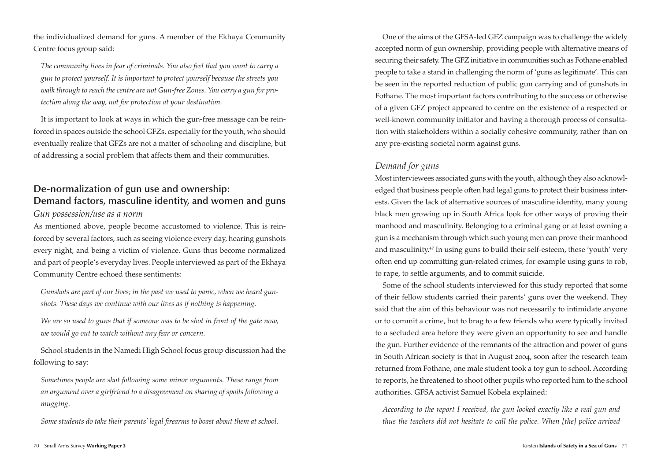the individualized demand for guns. A member of the Ekhaya Community Centre focus group said:

*The community lives in fear of criminals. You also feel that you want to carry a gun to protect yourself. It is important to protect yourself because the streets you walk through to reach the centre are not Gun-free Zones. You carry a gun for pro tection along the way, not for protection at your destination.* 

It is important to look at ways in which the gun-free message can be reinforced in spaces outside the school GFZs, especially for the youth, who should eventually realize that GFZs are not a matter of schooling and discipline, but of addressing a social problem that affects them and their communities.

## **De-normalization of gun use and ownership: Demand factors, masculine identity, and women and guns**

## *Gun possession/use as a norm*

As mentioned above, people become accustomed to violence. This is reinforced by several factors, such as seeing violence every day, hearing gunshots every night, and being a victim of violence. Guns thus become normalized and part of people's everyday lives. People interviewed as part of the Ekhaya Community Centre echoed these sentiments:

*Gunshots are part of our lives; in the past we used to panic, when we heard gun shots. These days we continue with our lives as if nothing is happening.*

*We are so used to guns that if someone was to be shot in front of the gate now, we would go out to watch without any fear or concern.* 

School students in the Namedi High School focus group discussion had the following to say:

*Sometimes people are shot following some minor arguments. These range from an argument over a girlfriend to a disagreement on sharing of spoils following a mugging.*

*Some students do take their parents' legal firearms to boast about them at school.* 

One of the aims of the GFSA-led GFZ campaign was to challenge the widely accepted norm of gun ownership, providing people with alternative means of securing their safety. The GFZ initiative in communities such as Fothane enabled people to take a stand in challenging the norm of 'guns as legitimate'. This can be seen in the reported reduction of public gun carrying and of gunshots in Fothane. The most important factors contributing to the success or otherwise of a given GFZ project appeared to centre on the existence of a respected or well-known community initiator and having a thorough process of consultation with stakeholders within a socially cohesive community, rather than on any pre-existing societal norm against guns.

## *Demand for guns*

Most interviewees associated guns with the youth, although they also acknowledged that business people often had legal guns to protect their business interests. Given the lack of alternative sources of masculine identity, many young black men growing up in South Africa look for other ways of proving their manhood and masculinity. Belonging to a criminal gang or at least owning a gun is a mechanism through which such young men can prove their manhood and masculinity.<sup>47</sup> In using guns to build their self-esteem, these 'youth' very often end up committing gun-related crimes, for example using guns to rob, to rape, to settle arguments, and to commit suicide.

Some of the school students interviewed for this study reported that some of their fellow students carried their parents' guns over the weekend. They said that the aim of this behaviour was not necessarily to intimidate anyone or to commit a crime, but to brag to a few friends who were typically invited to a secluded area before they were given an opportunity to see and handle the gun. Further evidence of the remnants of the attraction and power of guns in South African society is that in August 2004, soon after the research team returned from Fothane, one male student took a toy gun to school. According to reports, he threatened to shoot other pupils who reported him to the school authorities. GFSA activist Samuel Kobela explained:

*According to the report I received, the gun looked exactly like a real gun and thus the teachers did not hesitate to call the police. When [the] police arrived*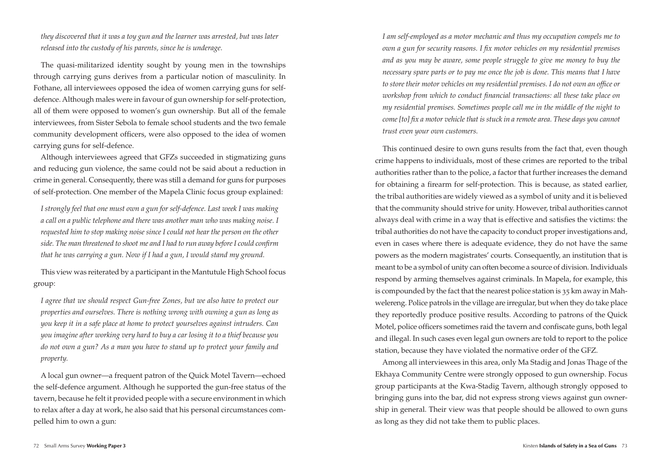*they discovered that it was a toy gun and the learner was arrested, but was later released into the custody of his parents, since he is underage.* 

The quasi-militarized identity sought by young men in the townships through carrying guns derives from a particular notion of masculinity. In Fothane, all interviewees opposed the idea of women carrying guns for selfdefence. Although males were in favour of gun ownership for self-protection, all of them were opposed to women's gun ownership. But all of the female interviewees, from Sister Sebola to female school students and the two female community development officers, were also opposed to the idea of women carrying guns for self-defence.

Although interviewees agreed that GFZs succeeded in stigmatizing guns and reducing gun violence, the same could not be said about a reduction in crime in general. Consequently, there was still a demand for guns for purposes of self-protection. One member of the Mapela Clinic focus group explained:

*I strongly feel that one must own a gun for self-defence. Last week I was making a call on a public telephone and there was another man who was making noise. I requested him to stop making noise since I could not hear the person on the other side. The man threatened to shoot me and I had to run away before I could confirm that he was carrying a gun. Now if I had a gun, I would stand my ground.* 

This view was reiterated by a participant in the Mantutule High School focus group:

*I agree that we should respect Gun-free Zones, but we also have to protect our properties and ourselves. There is nothing wrong with owning a gun as long as you keep it in a safe place at home to protect yourselves against intruders. Can you imagine after working very hard to buy a car losing it to a thief because you do not own a gun? As a man you have to stand up to protect your family and property.*

A local gun owner—a frequent patron of the Quick Motel Tavern—echoed the self-defence argument. Although he supported the gun-free status of the tavern, because he felt it provided people with a secure environment in which to relax after a day at work, he also said that his personal circumstances compelled him to own a gun:

*I am self-employed as a motor mechanic and thus my occupation compels me to own a gun for security reasons. I fix motor vehicles on my residential premises and as you may be aware, some people struggle to give me money to buy the necessary spare parts or to pay me once the job is done. This means that I have to store their motor vehicles on my residential premises. I do not own an office or workshop from which to conduct financial transactions: all these take place on my residential premises. Sometimes people call me in the middle of the night to come [to] fix a motor vehicle that is stuck in a remote area. These days you cannot trust even your own customers.* 

This continued desire to own guns results from the fact that, even though crime happens to individuals, most of these crimes are reported to the tribal authorities rather than to the police, a factor that further increases the demand for obtaining a firearm for self-protection. This is because, as stated earlier, the tribal authorities are widely viewed as a symbol of unity and it is believed that the community should strive for unity. However, tribal authorities cannot always deal with crime in a way that is effective and satisfies the victims: the tribal authorities do not have the capacity to conduct proper investigations and, even in cases where there is adequate evidence, they do not have the same powers as the modern magistrates' courts. Consequently, an institution that is meant to be a symbol of unity can often become a source of division. Individuals respond by arming themselves against criminals. In Mapela, for example, this is compounded by the fact that the nearest police station is 35 km away in Mahwelereng. Police patrols in the village are irregular, but when they do take place they reportedly produce positive results. According to patrons of the Quick Motel, police officers sometimes raid the tavern and confiscate guns, both legal and illegal. In such cases even legal gun owners are told to report to the police station, because they have violated the normative order of the GFZ.

Among all interviewees in this area, only Ma Stadig and Jonas Thage of the Ekhaya Community Centre were strongly opposed to gun ownership. Focus group participants at the Kwa-Stadig Tavern, although strongly opposed to bringing guns into the bar, did not express strong views against gun ownership in general. Their view was that people should be allowed to own guns as long as they did not take them to public places.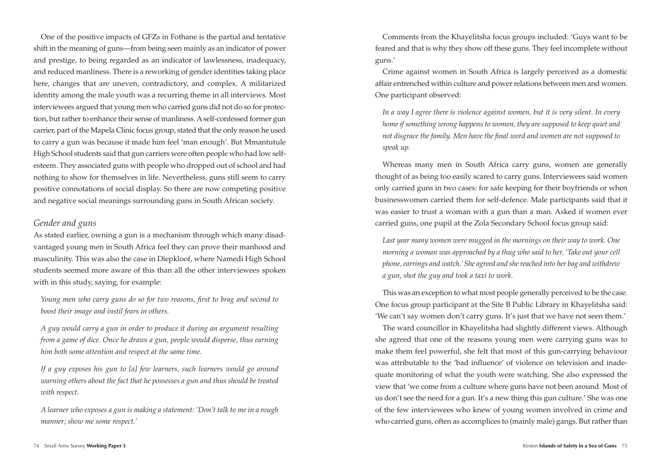One of the positive impacts of GFZs in Fothane is the partial and tentative shift in the meaning of guns—from being seen mainly as an indicator of power and prestige, to being regarded as an indicator of lawlessness, inadequacy, and reduced manliness. There is a reworking of gender identities taking place here, changes that are uneven, contradictory, and complex. A militarized identity among the male youth was a recurring theme in all interviews. Most interviewees argued that young men who carried guns did not do so for protection, but rather to enhance their sense of manliness. A self-confessed former gun carrier, part of the Mapela Clinic focus group, stated that the only reason he used to carry a gun was because it made him feel 'man enough'. But Mmantutule High School students said that gun carriers were often people who had low selfesteem. They associated guns with people who dropped out of school and had nothing to show for themselves in life. Nevertheless, guns still seem to carry positive connotations of social display. So there are now competing positive and negative social meanings surrounding guns in South African society.

### *Gender and guns*

As stated earlier, owning a gun is a mechanism through which many disadvantaged young men in South Africa feel they can prove their manhood and masculinity. This was also the case in Diepkloof, where Namedi High School students seemed more aware of this than all the other interviewees spoken with in this study, saying, for example:

*Young men who carry guns do so for two reasons, first to brag and second to boost their image and instil fears in others.*

*A guy would carry a gun in order to produce it during an argument resulting from a game of dice. Once he draws a gun, people would disperse, thus earning him both some attention and respect at the same time.*

*If a guy exposes his gun to [a] few learners, such learners would go around warning others about the fact that he possesses a gun and thus should be treated with respect.*

*A learner who exposes a gun is making a statement: 'Don't talk to me in a rough manner; show me some respect.'* 

Comments from the Khayelitsha focus groups included: 'Guys want to be feared and that is why they show off these guns. They feel incomplete without guns.'

Crime against women in South Africa is largely perceived as a domestic affair entrenched within culture and power relations between men and women. One participant observed:

*In a way I agree there is violence against women, but it is very silent. In every home if something wrong happens to women, they are supposed to keep quiet and not disgrace the family. Men have the final word and women are not supposed to speak up.*

Whereas many men in South Africa carry guns, women are generally thought of as being too easily scared to carry guns. Interviewees said women only carried guns in two cases: for safe keeping for their boyfriends or when businesswomen carried them for self-defence. Male participants said that it was easier to trust a woman with a gun than a man. Asked if women ever carried guns, one pupil at the Zola Secondary School focus group said:

*Last year many women were mugged in the mornings on their way to work. One morning a woman was approached by a thug who said to her, 'Take out your cell phone, earrings and watch.' She agreed and shereached into her bag and withdrew a gun, shot the guy and took a taxi to work.*

This was an exception to what most people generally perceived to be the case. One focus group participant at the Site B Public Library in Khayelitsha said: 'We can't say women don't carry guns. It's just that we have not seen them.'

The ward councillor in Khayelitsha had slightly different views. Although she agreed that one of the reasons young men were carrying guns was to make them feel powerful, she felt that most of this gun-carrying behaviour was attributable to the 'bad influence' of violence on television and inadequate monitoring of what the youth were watching. She also expressed the view that 'we come from a culture where guns have not been around. Most of us don't see the need for a gun. It's a new thing this gun culture.' She was one of the few interviewees who knew of young women involved in crime and who carried guns, often as accomplices to (mainly male) gangs. But rather than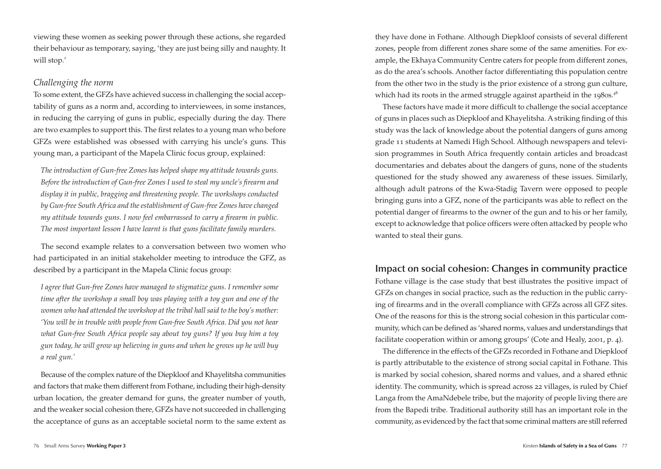viewing these women as seeking power through these actions, she regarded their behaviour as temporary, saying, 'they are just being silly and naughty. It will stop.'

### *Challenging the norm*

To some extent, the GFZs have achieved success in challenging the social acceptability of guns as a norm and, according to interviewees, in some instances, in reducing the carrying of guns in public, especially during the day. There are two examples to support this. The first relates to a young man who before GFZs were established was obsessed with carrying his uncle's guns. This young man, a participant of the Mapela Clinic focus group, explained:

*The introduction of Gun-free Zones has helped shape my attitude towards guns. Before the introduction of Gun-free Zones I used to steal my uncle's firearm and display it in public, bragging and threatening people. The workshops conducted by Gun-free South Africa and the establishment of Gun-free Zones have changed my attitude towards guns. I now feel embarrassed to carry a firearm in public. The most important lesson I have learnt is that guns facilitate family murders.* 

The second example relates to a conversation between two women who had participated in an initial stakeholder meeting to introduce the GFZ, as described by a participant in the Mapela Clinic focus group:

*I agree that Gun-free Zones have managed to stigmatize guns. I remember some time after the workshop a small boy was playing with a toy gun and one of the women who had attended the workshop at the tribal hall said to the boy's mother: 'You will be in trouble with people from Gun-free South Africa. Did you not hear what Gun-free South Africa people say about toy guns? If you buy him a toy gun today, he will grow up believing in guns and when he grows up he will buy a real gun.'* 

Because of the complex nature of the Diepkloof and Khayelitsha communities and factors that make them different from Fothane, including their high-density urban location, the greater demand for guns, the greater number of youth, and the weaker social cohesion there, GFZs have not succeeded in challenging the acceptance of guns as an acceptable societal norm to the same extent as

they have done in Fothane. Although Diepkloof consists of several different zones, people from different zones share some of the same amenities. For example, the Ekhaya Community Centre caters for people from different zones, as do the area's schools. Another factor differentiating this population centre from the other two in the study is the prior existence of a strong gun culture, which had its roots in the armed struggle against apartheid in the  $1980s$ .<sup>48</sup>

These factors have made it more difficult to challenge the social acceptance of guns in places such as Diepkloof and Khayelitsha. A striking finding of this study was the lack of knowledge about the potential dangers of guns among grade 11 students at Namedi High School. Although newspapers and television programmes in South Africa frequently contain articles and broadcast documentaries and debates about the dangers of guns, none of the students questioned for the study showed any awareness of these issues. Similarly, although adult patrons of the Kwa-Stadig Tavern were opposed to people bringing guns into a GFZ, none of the participants was able to reflect on the potential danger of firearms to the owner of the gun and to his or her family, except to acknowledge that police officers were often attacked by people who wanted to steal their guns.

## **Impact on social cohesion: Changes in community practice**

Fothane village is the case study that best illustrates the positive impact of GFZs on changes in social practice, such as the reduction in the public carrying of firearms and in the overall compliance with GFZs across all GFZ sites. One of the reasons for this is the strong social cohesion in this particular community, which can be defined as 'shared norms, values and understandings that facilitate cooperation within or among groups' (Cote and Healy, 2001, p. 4).

The difference in the effects of the GFZs recorded in Fothane and Diepkloof is partly attributable to the existence of strong social capital in Fothane. This is marked by social cohesion, shared norms and values, and a shared ethnic identity. The community, which is spread across 22 villages, is ruled by Chief Langa from the AmaNdebele tribe, but the majority of people living there are from the Bapedi tribe. Traditional authority still has an important role in the community, as evidenced by the fact that some criminal matters are still referred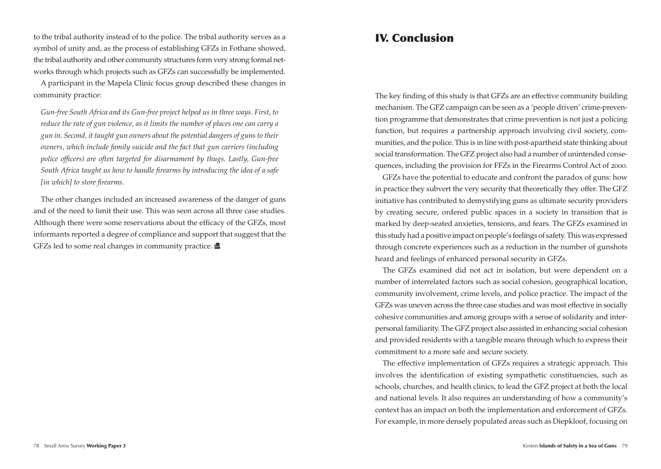to the tribal authority instead of to the police. The tribal authority serves as a symbol of unity and, as the process of establishing GFZs in Fothane showed, the tribal authority and other community structures form very strong formal networks through which projects such as GFZs can successfully be implemented.

A participant in the Mapela Clinic focus group described these changes in community practice:

*Gun-free South Africa and its Gun-free project helped us in three ways. First, to reduce the rate of gun violence, as it limits the number of places one can carry a gun in. Second, it taught gun owners about the potential dangers of guns to their owners, which include family suicide and the fact that gun carriers (including police officers) are often targeted for disarmament by thugs. Lastly, Gun-free South Africa taught us how to handle firearms by introducing the idea of a safe [in which] to store firearms.*

The other changes included an increased awareness of the danger of guns and of the need to limit their use. This was seen across all three case studies. Although there were some reservations about the efficacy of the GFZs, most informants reported a degree of compliance and support that suggest that the GFZs led to some real changes in community practice.

## IV. Conclusion

The key finding of this study is that GFZs are an effective community building mechanism. The GFZ campaign can be seen as a 'people driven' crime-prevention programme that demonstrates that crime prevention is not just a policing function, but requires a partnership approach involving civil society, communities, and the police. This is in line with post-apartheid state thinking about social transformation. The GFZ project also had a number of unintended consequences, including the provision for FFZs in the Firearms Control Act of 2000.

GFZs have the potential to educate and confront the paradox of guns: how in practice they subvert the very security that theoretically they offer. The GFZ initiative has contributed to demystifying guns as ultimate security providers by creating secure, ordered public spaces in a society in transition that is marked by deep-seated anxieties, tensions, and fears. The GFZs examined in this study had a positive impact on people's feelings of safety. This was expressed through concrete experiences such as a reduction in the number of gunshots heard and feelings of enhanced personal security in GFZs.

The GFZs examined did not act in isolation, but were dependent on a number of interrelated factors such as social cohesion, geographical location, community involvement, crime levels, and police practice. The impact of the GFZs was uneven across the three case studies and was most effective in socially cohesive communities and among groups with a sense of solidarity and interpersonal familiarity. The GFZ project also assisted in enhancing social cohesion and provided residents with a tangible means through which to express their commitment to a more safe and secure society.

The effective implementation of GFZs requires a strategic approach. This involves the identification of existing sympathetic constituencies, such as schools, churches, and health clinics, to lead the GFZ project at both the local and national levels. It also requires an understanding of how a community's context has an impact on both the implementation and enforcement of GFZs. For example, in more densely populated areas such as Diepkloof, focusing on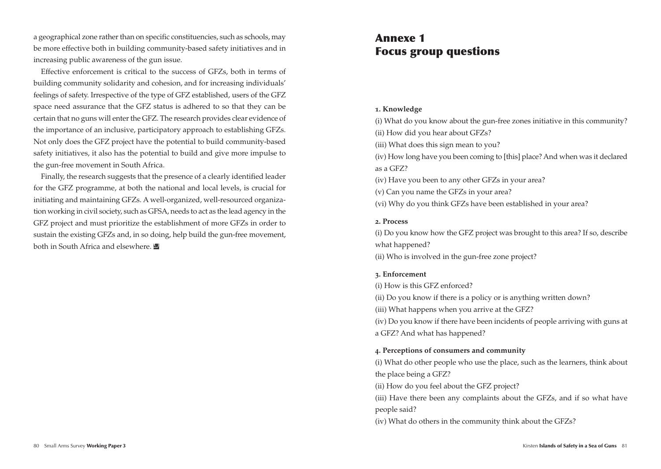a geographical zone rather than on specific constituencies, such as schools, may be more effective both in building community-based safety initiatives and in increasing public awareness of the gun issue.

Effective enforcement is critical to the success of GFZs, both in terms of building community solidarity and cohesion, and for increasing individuals' feelings of safety. Irrespective of the type of GFZ established, users of the GFZ space need assurance that the GFZ status is adhered to so that they can be certain that no guns will enter the GFZ. The research provides clear evidence of the importance of an inclusive, participatory approach to establishing GFZs. Not only does the GFZ project have the potential to build community-based safety initiatives, it also has the potential to build and give more impulse to the gun-free movement in South Africa.

Finally, the research suggests that the presence of a clearly identified leader for the GFZ programme, at both the national and local levels, is crucial for initiating and maintaining GFZs. A well-organized, well-resourced organization working in civil society, such as GFSA, needs to act as the lead agency in the GFZ project and must prioritize the establishment of more GFZs in order to sustain the existing GFZs and, in so doing, help build the gun-free movement, both in South Africa and elsewhere.

## Annexe 1 Focus group questions

#### **1. Knowledge**

(i) What do you know about the gun-free zones initiative in this community? (ii) How did you hear about GFZs? (iii) What does this sign mean to you? (iv) How long have you been coming to [this] place? And when was it declared as a GFZ? (iv) Have you been to any other GFZs in your area? (v) Can you name the GFZs in your area? (vi) Why do you think GFZs have been established in your area?

#### **2. Process**

(i) Do you know how the GFZ project was brought to this area? If so, describe what happened?

(ii) Who is involved in the gun-free zone project?

#### **3. Enforcement**

(i) How is this GFZ enforced?

(ii) Do you know if there is a policy or is anything written down?

(iii) What happens when you arrive at the GFZ?

(iv) Do you know if there have been incidents of people arriving with guns at a GFZ? And what has happened?

#### **4. Perceptions of consumers and community**

(i) What do other people who use the place, such as the learners, think about the place being a GFZ?

(ii) How do you feel about the GFZ project?

(iii) Have there been any complaints about the GFZs, and if so what have people said?

(iv) What do others in the community think about the GFZs?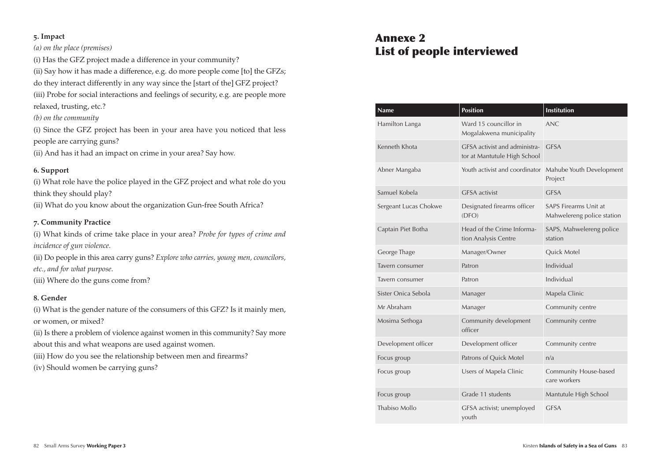### **5. Impact**

#### *(a) on the place (premises)*

(i) Has the GFZ project made a difference in your community? (ii) Say how it has made a difference, e.g. do more people come [to] the GFZs; do they interact differently in any way since the [start of the] GFZ project? (iii) Probe for social interactions and feelings of security, e.g. are people more relaxed, trusting, etc.?

*(b) on the community*

(i) Since the GFZ project has been in your area have you noticed that less people are carrying guns?

(ii) And has it had an impact on crime in your area? Say how.

#### **6. Support**

(i) What role have the police played in the GFZ project and what role do you think they should play?

(ii) What do you know about the organization Gun-free South Africa?

### **7. Community Practice**

(i) What kinds of crime take place in your area? *Probe for types of crime and incidence of gun violence.*

(ii) Do people in this area carry guns? *Explore who carries, young men, councilors, etc., and for what purpose*.

(iii) Where do the guns come from?

#### **8. Gender**

(i) What is the gender nature of the consumers of this GFZ? Is it mainly men, or women, or mixed?

(ii) Is there a problem of violence against women in this community? Say more about this and what weapons are used against women.

(iii) How do you see the relationship between men and firearms?

(iv) Should women be carrying guns?

## Annexe 2 List of people interviewed

| <b>Name</b>           | <b>Position</b>                                               | <b>Institution</b>                                  |
|-----------------------|---------------------------------------------------------------|-----------------------------------------------------|
| Hamilton Langa        | Ward 15 councillor in<br>Mogalakwena municipality             | ANC.                                                |
| Kenneth Khota         | GFSA activist and administra-<br>tor at Mantutule High School | <b>GESA</b>                                         |
| Abner Mangaba         | Youth activist and coordinator                                | Mahube Youth Development<br>Project                 |
| Samuel Kobela         | <b>GFSA</b> activist                                          | <b>GFSA</b>                                         |
| Sergeant Lucas Chokwe | Designated firearms officer<br>(DFO)                          | SAPS Firearms Unit at<br>Mahwelereng police station |
| Captain Piet Botha    | Head of the Crime Informa-<br>tion Analysis Centre            | SAPS, Mahwelereng police<br>station                 |
| George Thage          | Manager/Owner                                                 | Quick Motel                                         |
| Tavern consumer       | Patron                                                        | Individual                                          |
| Tavern consumer       | Patron                                                        | Individual                                          |
| Sister Onica Sebola   | Manager                                                       | Mapela Clinic                                       |
| Mr Abraham            | Manager                                                       | Community centre                                    |
| Mosima Sethoga        | Community development<br>officer                              | Community centre                                    |
| Development officer   | Development officer                                           | Community centre                                    |
| Focus group           | Patrons of Quick Motel                                        | n/a                                                 |
| Focus group           | Users of Mapela Clinic                                        | Community House-based<br>care workers               |
| Focus group           | Grade 11 students                                             | Mantutule High School                               |
| Thabiso Mollo         | GFSA activist; unemployed<br>youth                            | <b>GFSA</b>                                         |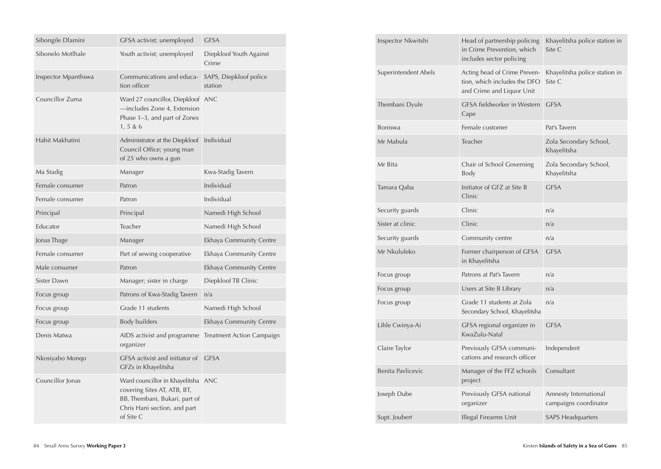| Sibongile Dlamini   | GFSA activist; unemployed                                                                                                                       | <b>GFSA</b>                       |
|---------------------|-------------------------------------------------------------------------------------------------------------------------------------------------|-----------------------------------|
| Sibonelo Motlhale   | Youth activist; unemployed                                                                                                                      | Diepkloof Youth Against<br>Crime  |
| Inspector Mpanthswa | Communications and educa-<br>tion officer                                                                                                       | SAPS, Diepkloof police<br>station |
| Councillor Zuma     | Ward 27 councillor, Diepkloof ANC<br>-includes Zone 4, Extension<br>Phase 1-3, and part of Zones<br>1, 5 & 6                                    |                                   |
| Habit Makhatini     | Administrator at the Diepkloof<br>Council Office; young man<br>of 25 who owns a gun                                                             | Individual                        |
| Ma Stadig           | Manager                                                                                                                                         | Kwa-Stadig Tavern                 |
| Female consumer     | Patron                                                                                                                                          | Individual                        |
| Female consumer     | Patron                                                                                                                                          | Individual                        |
| Principal           | Principal                                                                                                                                       | Namedi High School                |
| Educator            | Teacher                                                                                                                                         | Namedi High School                |
| Jonas Thage         | Manager                                                                                                                                         | Ekhaya Community Centre           |
| Female consumer     | Part of sewing cooperative                                                                                                                      | Ekhaya Community Centre           |
| Male consumer       | Patron                                                                                                                                          | Ekhaya Community Centre           |
| Sister Dawn         | Manager; sister in charge                                                                                                                       | Diepkloof TB Clinic               |
| Focus group         | Patrons of Kwa-Stadig Tavern                                                                                                                    | n/a                               |
| Focus group         | Grade 11 students                                                                                                                               | Namedi High School                |
| Focus group         | Body builders                                                                                                                                   | Ekhaya Community Centre           |
| Denis Matwa         | AIDS activist and programme<br>organizer                                                                                                        | Treatment Action Campaign         |
| Nkosiyabo Monqo     | GFSA activist and initiator of<br>GFZs in Khayelitsha                                                                                           | <b>GFSA</b>                       |
| Councillor Jonas    | Ward councillor in Khayelitsha ANC<br>covering Sites AT, ATB, BT,<br>BB, Thembani, Bukari, part of<br>Chris Hani section, and part<br>of Site C |                                   |

| Inspector Nkwitshi   | Head of partnership policing<br>in Crime Prevention, which<br>includes sector policing    | Khayelitsha police station in<br>Site C        |
|----------------------|-------------------------------------------------------------------------------------------|------------------------------------------------|
| Superintendent Abels | Acting head of Crime Preven-<br>tion, which includes the DFO<br>and Crime and Liquor Unit | Khayelitsha police station in<br>Site C        |
| Thembani Dyule       | GFSA fieldworker in Western<br>Cape                                                       | <b>GESA</b>                                    |
| <b>Boniswa</b>       | Female customer                                                                           | Pat's Tavern                                   |
| Mr Mabula            | Teacher                                                                                   | Zola Secondary School,<br>Khayelitsha          |
| Mr Bita              | Chair of School Governing<br>Body                                                         | Zola Secondary School,<br>Khayelitsha          |
| Tamara Qaba          | Initiator of GFZ at Site B<br>Clinic                                                      | <b>GFSA</b>                                    |
| Security guards      | Clinic                                                                                    | n/a                                            |
| Sister at clinic     | Clinic.                                                                                   | n/a                                            |
| Security guards      | Community centre                                                                          | n/a                                            |
| Mr Nkululeko         | Former chairperson of GFSA<br>in Khayelitsha                                              | <b>GFSA</b>                                    |
| Focus group          | Patrons at Pat's Tavern                                                                   | n/a                                            |
| Focus group          | Users at Site B Library                                                                   | n/a                                            |
| Focus group          | Grade 11 students at Zola<br>Secondary School, Khayelitsha                                | n/a                                            |
| Lihle Cwinya-Ai      | GFSA regional organizer in<br>KwaZulu-Natal                                               | <b>GFSA</b>                                    |
| Claire Taylor        | Previously GFSA communi-<br>cations and research officer                                  | Independent                                    |
| Benita Pavlicevic    | Manager of the FFZ schools<br>project                                                     | Consultant                                     |
| Joseph Dube          | Previously GFSA national<br>organizer                                                     | Amnesty International<br>campaigns coordinator |
| Supt. Joubert        | Illegal Firearms Unit                                                                     | <b>SAPS Headquarters</b>                       |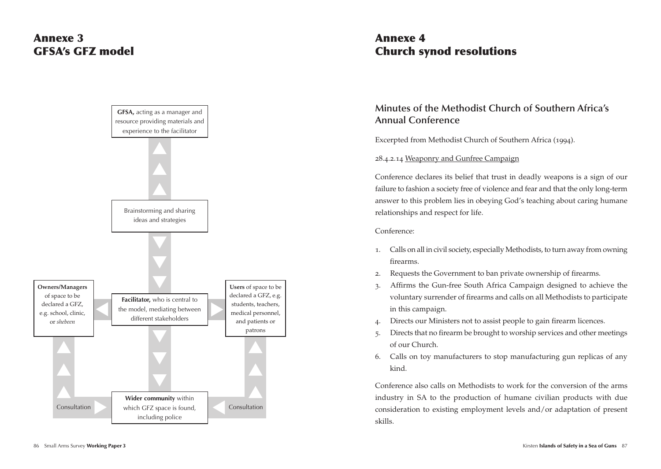## Annexe 3 GFSA's GFZ model



## Annexe 4 Church synod resolutions

## **Minutes of the Methodist Church of Southern Africa's Annual Conference**

Excerpted from Methodist Church of Southern Africa (1994).

### 28.4.2.14 Weaponry and Gunfree Campaign

Conference declares its belief that trust in deadly weapons is a sign of our failure to fashion a society free of violence and fear and that the only long-term answer to this problem lies in obeying God's teaching about caring humane relationships and respect for life.

### Conference:

- 1. Calls on all in civil society, especially Methodists, to turn away from owning firearms.
- 2. Requests the Government to ban private ownership of firearms.
- 3. Affirms the Gun-free South Africa Campaign designed to achieve the voluntary surrender of firearms and calls on all Methodists to participate in this campaign.
- 4. Directs our Ministers not to assist people to gain firearm licences.
- 5. Directs that no firearm be brought to worship services and other meetings of our Church.
- 6. Calls on toy manufacturers to stop manufacturing gun replicas of any kind.

Conference also calls on Methodists to work for the conversion of the arms industry in SA to the production of humane civilian products with due consideration to existing employment levels and/or adaptation of present skills.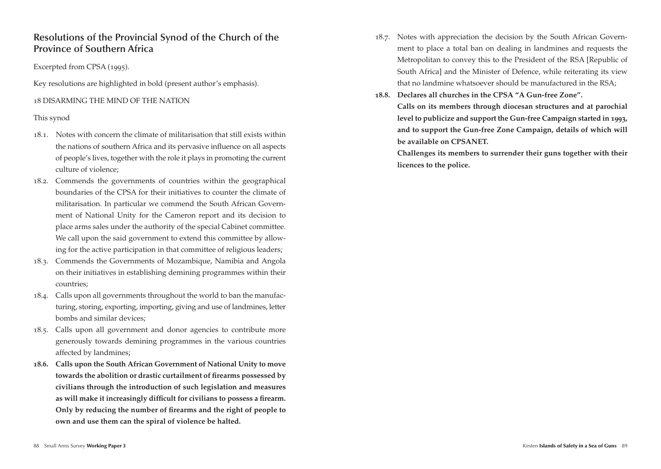## **Resolutions of the Provincial Synod of the Church of the Province of Southern Africa**

#### Excerpted from CPSA (1995).

Key resolutions are highlighted in bold (present author's emphasis).

#### 18 DISARMING THE MIND OF THE NATION

#### This synod

- 18.1. Notes with concern the climate of militarisation that still exists within the nations of southern Africa and its pervasive influence on all aspects of people's lives, together with the role it plays in promoting the current culture of violence;
- 18.2. Commends the governments of countries within the geographical boundaries of the CPSA for their initiatives to counter the climate of militarisation. In particular we commend the South African Government of National Unity for the Cameron report and its decision to place arms sales under the authority of the special Cabinet committee. We call upon the said government to extend this committee by allowing for the active participation in that committee of religious leaders;
- 18.3. Commends the Governments of Mozambique, Namibia and Angola on their initiatives in establishing demining programmes within their countries;
- 18.4. Calls upon all governments throughout the world to ban the manufacturing, storing, exporting, importing, giving and use of landmines, letter bombs and similar devices;
- 18.5. Calls upon all government and donor agencies to contribute more generously towards demining programmes in the various countries affected by landmines;
- **18.6. Calls upon the South African Government of National Unity to move towards the abolition or drastic curtailment of firearms possessed by civilians through the introduction of such legislation and measures as will make it increasingly difficult for civilians to possess a firearm. Only by reducing the number of firearms and the right of people to own and use them can the spiral of violence be halted.**
- 18.7. Notes with appreciation the decision by the South African Government to place a total ban on dealing in landmines and requests the Metropolitan to convey this to the President of the RSA [Republic of South Africa] and the Minister of Defence, while reiterating its view that no landmine whatsoever should be manufactured in the RSA;
- **18.8. Declares all churches in the CPSA "A Gun-free Zone". Calls on its members through diocesan structures and at parochial level to publicize and support the Gun-free Campaign started in 1993, and to support the Gun-free Zone Campaign, details of which will be available on CPSANET.**

**Challenges its members to surrender their guns together with their licences to the police.**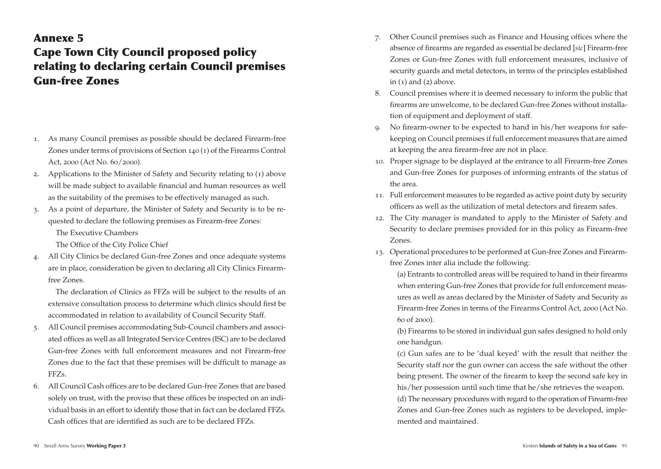## Annexe 5 Cape Town City Council proposed policy relating to declaring certain Council premises Gun-free Zones

- 1. As many Council premises as possible should be declared Firearm-free Zones under terms of provisions of Section 140 (1) of the Firearms Control Act, 2000 (Act No. 60/2000).
- 2. Applications to the Minister of Safety and Security relating to (1) above will be made subject to available financial and human resources as well as the suitability of the premises to be effectively managed as such.
- 3. As a point of departure, the Minister of Safety and Security is to be requested to declare the following premises as Firearm-free Zones: The Executive Chambers

The Office of the City Police Chief

4. All City Clinics be declared Gun-free Zones and once adequate systems are in place, consideration be given to declaring all City Clinics Firearmfree Zones.

The declaration of Clinics as FFZs will be subject to the results of an extensive consultation process to determine which clinics should first be accommodated in relation to availability of Council Security Staff.

- 5. All Council premises accommodating Sub-Council chambers and associated offices as well as all Integrated Service Centres (ISC) are to be declared Gun-free Zones with full enforcement measures and not Firearm-free Zones due to the fact that these premises will be difficult to manage as FFZs.
- 6. All Council Cash offices are to be declared Gun-free Zones that are based solely on trust, with the proviso that these offices be inspected on an individual basis in an effort to identify those that in fact can be declared FFZs. Cash offices that are identified as such are to be declared FFZs.
- 7. Other Council premises such as Finance and Housing offices where the absence of firearms are regarded as essential be declared [*sic*] Firearm-free Zones or Gun-free Zones with full enforcement measures, inclusive of security guards and metal detectors, in terms of the principles established in  $(1)$  and  $(2)$  above.
- 8. Council premises where it is deemed necessary to inform the public that firearms are unwelcome, to be declared Gun-free Zones without installation of equipment and deployment of staff.
- 9. No firearm-owner to be expected to hand in his/her weapons for safekeeping on Council premises if full enforcement measures that are aimed at keeping the area firearm-free are not in place.
- 10. Proper signage to be displayed at the entrance to all Firearm-free Zones and Gun-free Zones for purposes of informing entrants of the status of the area.
- 11. Full enforcement measures to be regarded as active point duty by security officers as well as the utilization of metal detectors and firearm safes.
- 12. The City manager is mandated to apply to the Minister of Safety and Security to declare premises provided for in this policy as Firearm-free Zones.
- 13. Operational procedures to be performed at Gun-free Zones and Firearmfree Zones inter alia include the following:

(a) Entrants to controlled areas will be required to hand in their firearms when entering Gun-free Zones that provide for full enforcement measures as well as areas declared by the Minister of Safety and Security as Firearm-free Zones in terms of the Firearms Control Act, 2000 (Act No. 60 of 2000).

(b) Firearms to be stored in individual gun safes designed to hold only one handgun.

(c) Gun safes are to be 'dual keyed' with the result that neither the Security staff nor the gun owner can access the safe without the other being present. The owner of the firearm to keep the second safe key in his/her possession until such time that he/she retrieves the weapon. (d) The necessary procedures with regard to the operation of Firearm-free Zones and Gun-free Zones such as registers to be developed, implemented and maintained.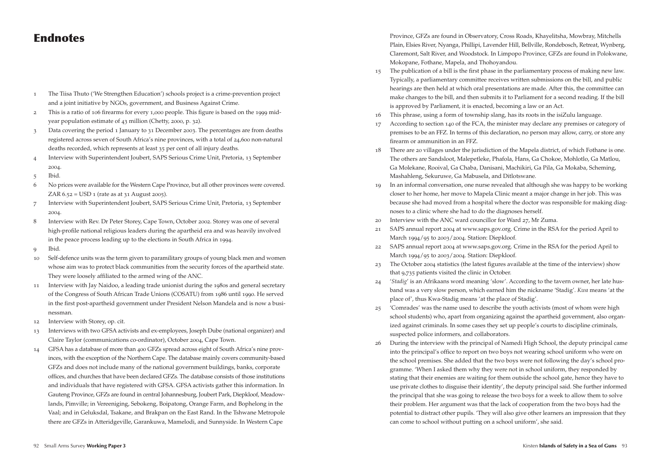## **Endnotes**

- 1 The Tiisa Thuto ('We Strengthen Education') schools project is a crime-prevention project and a joint initiative by NGOs, government, and Business Against Crime.
- 2 This is a ratio of 106 firearms for every 1,000 people. This figure is based on the 1999 midyear population estimate of 43 million (Chetty, 2000, p. 32).
- 3 Data covering the period 1 January to 31 December 2003. The percentages are from deaths registered across seven of South Africa's nine provinces, with a total of 24,600 non-natural deaths recorded, which represents at least 35 per cent of all injury deaths.
- 4 Interview with Superintendent Joubert, SAPS Serious Crime Unit, Pretoria, 13 September 2004.
- 5 Ibid.
- 6 No prices were available for the Western Cape Province, but all other provinces were covered. ZAR  $6.52 =$  USD 1 (rate as at 31 August 2005).
- 7 Interview with Superintendent Joubert, SAPS Serious Crime Unit, Pretoria, 13 September 2004.
- 8 Interview with Rev. Dr Peter Storey, Cape Town, October 2002. Storey was one of several high-profile national religious leaders during the apartheid era and was heavily involved in the peace process leading up to the elections in South Africa in 1994.
- 9 Ibid.
- 10 Self-defence units was the term given to paramilitary groups of young black men and women whose aim was to protect black communities from the security forces of the apartheid state. They were loosely affiliated to the armed wing of the ANC.
- 11 Interview with Jay Naidoo, a leading trade unionist during the 1980s and general secretary of the Congress of South African Trade Unions (COSATU) from 1986 until 1990. He served in the first post-apartheid government under President Nelson Mandela and is now a businessman.
- 12 Interview with Storey, op. cit.
- 13 Interviews with two GFSA activists and ex-employees, Joseph Dube (national organizer) and Claire Taylor (communications co-ordinator), October 2004, Cape Town.
- 14 GFSA has a database of more than 400 GFZs spread across eight of South Africa's nine provinces, with the exception of the Northern Cape. The database mainly covers community-based GFZs and does not include many of the national government buildings, banks, corporate offices, and churches that have been declared GFZs. The database consists of those institutions and individuals that have registered with GFSA. GFSA activists gather this information. In Gauteng Province, GFZs are found in central Johannesburg, Joubert Park, Diepkloof, Meadowlands, Pimville; in Vereeniging, Sebokeng, Boipatong, Orange Farm, and Bophelong in the Vaal; and in Geluksdal, Tsakane, and Brakpan on the East Rand. In the Tshwane Metropole there are GFZs in Atteridgeville, Garankuwa, Mamelodi, and Sunnyside. In Western Cape

Province, GFZs are found in Observatory, Cross Roads, Khayelitsha, Mowbray, Mitchells Plain, Elsies River, Nyanga, Phillipi, Lavender Hill, Bellville, Rondebosch, Retreat, Wynberg, Claremont, Salt River, and Woodstock. In Limpopo Province, GFZs are found in Polokwane, Mokopane, Fothane, Mapela, and Thohoyandou.

- 15 The publication of a bill is the first phase in the parliamentary process of making new law. Typically, a parliamentary committee receives written submissions on the bill, and public hearings are then held at which oral presentations are made. After this, the committee can make changes to the bill, and then submits it to Parliament for a second reading. If the bill is approved by Parliament, it is enacted, becoming a law or an Act.
- 16 This phrase, using a form of township slang, has its roots in the isiZulu language.
- 17 According to section 140 of the FCA, the minister may declare any premises or category of premises to be an FFZ. In terms of this declaration, no person may allow, carry, or store any firearm or ammunition in an FFZ.
- 18 There are 20 villages under the jurisdiction of the Mapela district, of which Fothane is one. The others are Sandsloot, Malepetleke, Phafola, Hans, Ga Chokoe, Mohlotlo, Ga Matlou, Ga Molekane, Rooival, Ga Chaba, Danisani, Machikiri, Ga Pila, Ga Mokaba, Scheming, Mashahleng, Sekuruwe, Ga Mabusela, and Ditlotswane.
- 19 In an informal conversation, one nurse revealed that although she was happy to be working closer to her home, her move to Mapela Clinic meant a major change in her job. This was because she had moved from a hospital where the doctor was responsible for making diagnoses to a clinic where she had to do the diagnoses herself.
- 20 Interview with the ANC ward councillor for Ward 27, Mr Zuma.
- 21 SAPS annual report 2004 at www.saps.gov.org. Crime in the RSA for the period April to March 1994/95 to 2003/2004. Station: Diepkloof.
- 22 SAPS annual report 2004 at www.saps.gov.org. Crime in the RSA for the period April to March 1994/95 to 2003/2004. Station: Diepkloof.
- 23 The October 2004 statistics (the latest figures available at the time of the interview) show that 9,735 patients visited the clinic in October.
- 24 '*Stadig*' is an Afrikaans word meaning 'slow'. According to the tavern owner, her late husband was a very slow person, which earned him the nickname 'Stadig'. *Kwa* means 'at the place of', thus Kwa-Stadig means 'at the place of Stadig'.
- 25 'Comrades' was the name used to describe the youth activists (most of whom were high school students) who, apart from organizing against the apartheid government, also organized against criminals. In some cases they set up people's courts to discipline criminals, suspected police informers, and collaborators.
- 26 During the interview with the principal of Namedi High School, the deputy principal came into the principal's office to report on two boys not wearing school uniform who were on the school premises. She added that the two boys were not following the day's school programme. 'When I asked them why they were not in school uniform, they responded by stating that their enemies are waiting for them outside the school gate, hence they have to use private clothes to disguise their identity', the deputy principal said. She further informed the principal that she was going to release the two boys for a week to allow them to solve their problem. Her argument was that the lack of cooperation from the two boys had the potential to distract other pupils. 'They will also give other learners an impression that they can come to school without putting on a school uniform', she said.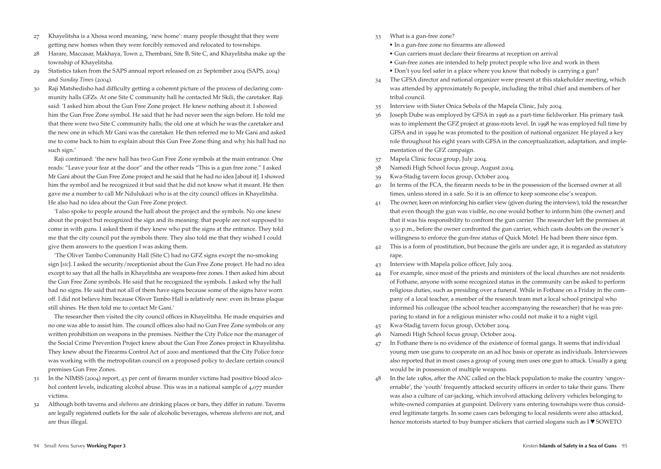- 27 Khayelitsha is a Xhosa word meaning, 'new home': many people thought that they were getting new homes when they were forcibly removed and relocated to townships.
- 28 Harare, Maccasar, Makhaya, Town 2, Thembani, Site B, Site C, and Khayelitsha make up the township of Khayelitsha.
- 29 Statistics taken from the SAPS annual report released on 21 September 2004 (SAPS, 2004) and *Sunday Times* (2004).
- 30 Raji Matshedisho had difficulty getting a coherent picture of the process of declaring community halls GFZs. At one Site C community hall he contacted Mr Skili, the caretaker. Raji said: 'I asked him about the Gun Free Zone project. He knew nothing about it. I showed him the Gun Free Zone symbol. He said that he had never seen the sign before. He told me that there were two Site C community halls; the old one at which he was the caretaker and the new one in which Mr Gani was the caretaker. He then referred me to Mr Gani and asked me to come back to him to explain about this Gun Free Zone thing and why his hall had no such sign.'

Raji continued: 'the new hall has two Gun Free Zone symbols at the main entrance. One reads: "Leave your fear at the door" and the other reads "This is a gun free zone." I asked Mr Gani about the Gun Free Zone project and he said that he had no idea [about it]. I showed him the symbol and he recognized it but said that he did not know what it meant. He then gave me a number to call Mr Ndulukazi who is at the city council offices in Khayelitsha. He also had no idea about the Gun Free Zone project.

'I also spoke to people around the hall about the project and the symbols. No one knew about the project but recognized the sign and its meaning: that people are not supposed to come in with guns. I asked them if they knew who put the signs at the entrance. They told me that the city council put the symbols there. They also told me that they wished I could give them answers to the question I was asking them.

'The Oliver Tambo Community Hall (Site C) had no GFZ signs except the no-smoking sign [*sic*]. I asked the security/receptionist about the Gun Free Zone project. He had no idea except to say that all the halls in Khayelitsha are weapons-free zones. I then asked him about the Gun Free Zone symbols. He said that he recognized the symbols. I asked why the hall had no signs. He said that not all of them have signs because some of the signs have worn off. I did not believe him because Oliver Tambo Hall is relatively new: even its brass plaque still shines. He then told me to contact Mr Gani.'

The researcher then visited the city council offices in Khayelitsha. He made enquiries and no one was able to assist him. The council offices also had no Gun Free Zone symbols or any written prohibition on weapons in the premises. Neither the City Police nor the manager of the Social Crime Prevention Project knew about the Gun Free Zones project in Khayelitsha. They knew about the Firearms Control Act of 2000 and mentioned that the City Police force was working with the metropolitan council on a proposed policy to declare certain council premises Gun Free Zones.

- 31 In the NIMSS (2004) report, 43 per cent of firearm murder victims had positive blood alcohol content levels, indicating alcohol abuse. This was in a national sample of 4,077 murder victims.
- 32 Although both taverns and *shebeens* are drinking places or bars, they differ in nature. Taverns are legally registered outlets for the sale of alcoholic beverages, whereas *shebeens* are not, and are thus illegal.
- 33 What is a gun-free zone?
	- In a gun-free zone no firearms are allowed
	- Gun carriers must declare their firearms at reception on arrival
	- Gun-free zones are intended to help protect people who live and work in them
	- Don't you feel safer in a place where you know that nobody is carrying a gun?
- 34 The GFSA director and national organizer were present at this stakeholder meeting, which was attended by approximately 80 people, including the tribal chief and members of her tribal council.
- 35 Interview with Sister Onica Sebola of the Mapela Clinic, July 2004.
- 36 Joseph Dube was employed by GFSA in 1996 as a part-time fieldworker. His primary task was to implement the GFZ project at grass-roots level. In 1998 he was employed full time by GFSA and in 1999 he was promoted to the position of national organizer. He played a key role throughout his eight years with GFSA in the conceptualization, adaptation, and implementation of the GFZ campaign.
- 37 Mapela Clinic focus group, July 2004.
- 38 Namedi High School focus group, August 2004.
- 39 Kwa-Stadig tavern focus group, October 2004.
- 40 In terms of the FCA, the firearm needs to be in the possession of the licensed owner at all times, unless stored in a safe. So it is an offence to keep someone else's weapon.
- 41 The owner, keen on reinforcing his earlier view (given during the interview), told the researcher that even though the gun was visible, no one would bother to inform him (the owner) and that it was his responsibility to confront the gun carrier. The researcher left the premises at 9.50 p.m., before the owner confronted the gun carrier, which casts doubts on the owner's willingness to enforce the gun-free status of Quick Motel. He had been there since 6pm.
- 42 This is a form of prostitution, but because the girls are under age, it is regarded as statutory rape.
- 43 Interview with Mapela police officer, July 2004.
- 44 For example, since most of the priests and ministers of the local churches are not residents of Fothane, anyone with some recognized status in the community can be asked to perform religious duties, such as presiding over a funeral. While in Fothane on a Friday in the company of a local teacher, a member of the research team met a local school principal who informed his colleague (the school teacher accompanying the researcher) that he was preparing to stand in for a religious minister who could not make it to a night vigil.
- 45 Kwa-Stadig tavern focus group, October 2004.
- 46 Namedi High School focus group, October 2004.
- 47 In Fothane there is no evidence of the existence of formal gangs. It seems that individual young men use guns to cooperate on an ad hoc basis or operate as individuals. Interviewees also reported that in most cases a group of young men uses one gun to attack. Usually a gang would be in possession of multiple weapons.
- 48 In the late 1980s, after the ANC called on the black population to make the country 'ungovernable', the 'youth' frequently attacked security officers in order to take their guns. There was also a culture of car-jacking, which involved attacking delivery vehicles belonging to white-owned companies at gunpoint. Delivery vans entering townships were thus considered legitimate targets. In some cases cars belonging to local residents were also attacked, hence motorists started to buy bumper stickers that carried slogans such as I ♥ SOWETO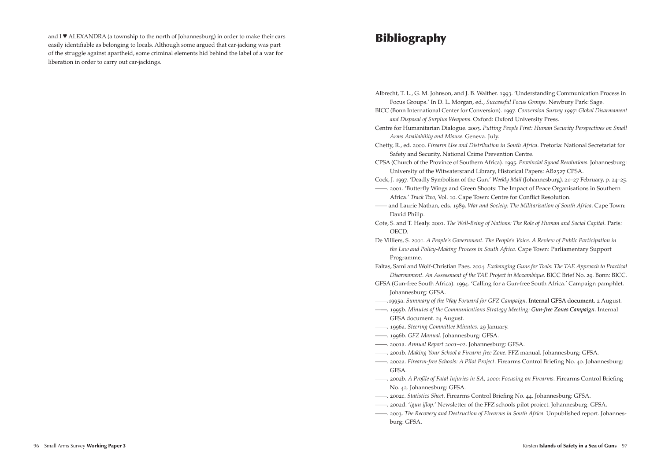and I ♥ ALEXANDRA (a township to the north of Johannesburg) in order to make their cars easily identifiable as belonging to locals. Although some argued that car-jacking was part of the struggle against apartheid, some criminal elements hid behind the label of a war for liberation in order to carry out car-jackings.

## **Bibliography**

- Albrecht, T. L., G. M. Johnson, and J. B. Walther. 1993. 'Understanding Communication Process in Focus Groups.' In D. L. Morgan, ed., *Successful Focus Groups*. Newbury Park: Sage.
- BICC (Bonn International Center for Conversion). 1997. *Conversion Survey 1997: Global Disarmament and Disposal of Surplus Weapons*. Oxford: Oxford University Press.

Centre for Humanitarian Dialogue. 2003. *Putting People First: Human Security Perspectives on Small Arms Availability and Misuse.* Geneva. July.

- Chetty, R., ed. 2000. *Firearm Use and Distribution in South Africa*. Pretoria: National Secretariat for Safety and Security, National Crime Prevention Centre.
- CPSA (Church of the Province of Southern Africa). 1995. *Provincial Synod Resolutions*. Johannesburg: University of the Witwatersrand Library, Historical Papers: AB2527 CPSA.
- Cock, J. 1997. 'Deadly Symbolism of the Gun.' *Weekly Mail* (Johannesburg). 21–27 February, p. 24–25.
- ——. 2001. 'Butterfly Wings and Green Shoots: The Impact of Peace Organisations in Southern Africa.' *Track Two*, Vol. 10. Cape Town: Centre for Conflict Resolution.
- —— and Laurie Nathan, eds. 1989. *War and Society: The Militarisation of South Africa*. Cape Town: David Philip.
- Cote, S. and T. Healy. 2001. *The Well-Being of Nations: The Role of Human and Social Capital.* Paris: OECD.
- De Villiers, S. 2001. *A People's Government. The People's Voice. A Review of Public Participation in the Law and Policy-Making Process in South Africa.* Cape Town: Parliamentary Support Programme.

Faltas, Sami and Wolf-Christian Paes. 2004. *Exchanging Guns for Tools: The TAE Approach to Practical Disarmament. An Assessment of the TAE Project in Mozambique*. BICC Brief No. 29. Bonn: BICC.

- GFSA (Gun-free South Africa). 1994. 'Calling for a Gun-free South Africa.' Campaign pamphlet. Johannesburg: GFSA.
- $-$ -1995a. *Summary of the Way Forward for GFZ Campaign*. **Internal GFSA document.** 2 August.
- ——. 1995b. *Minutes of the Communications Strategy Meeting: Gun-free�� Zones Campaign.* Internal GFSA document. 24 August.
- ——. 1996a. *Steering Committee Minutes*. 29 January.
- ——. 1996b. *GFZ Manual*. Johannesburg: GFSA.
- ——. 2001a. *Annual Report 2001–02.* Johannesburg: GFSA.
- ——. 2001b. *Making Your School a Firearm-free Zone*. FFZ manual*.* Johannesburg: GFSA.
- ——. 2002a. *Firearm-free Schools: A Pilot Project*. Firearms Control Briefing No. 40. Johannesburg: GFSA.
- ——. 2002b. *A Profile of Fatal Injuries in SA, 2000: Focusing on Firearms.* Firearms Control Briefing No. 42. Johannesburg: GFSA.
- ——. 2002c. *Statistics Sheet.* Firearms Control Briefing No. 44. Johannesburg: GFSA.
- ——. 2002d. '*igun iflop*.' Newsletter of the FFZ schools pilot project. Johannesburg: GFSA.
- ——. 2003. *The Recovery and Destruction of Firearms in South Africa.* Unpublished report. Johannesburg: GFSA.